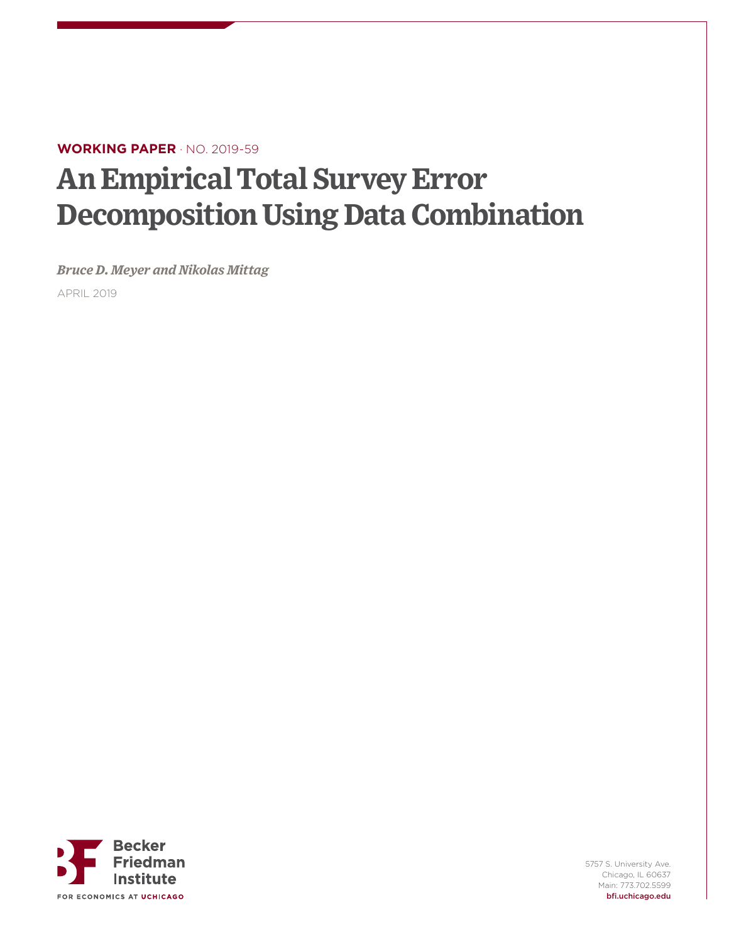# **WORKING PAPER** · NO. 2019-59

# **An Empirical Total Survey Error Decomposition Using Data Combination**

*Bruce D. Meyer and Nikolas Mittag*

APRIL 2019



5757 S. University Ave. Chicago, IL 60637 Main: 773.702.5599 bfi.uchicago.edu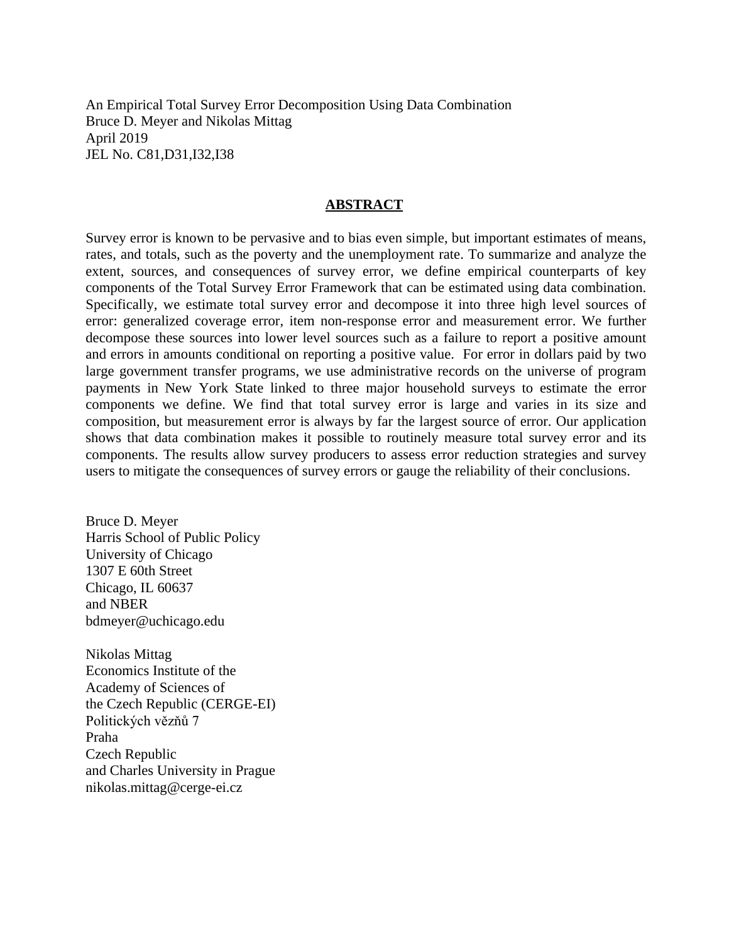An Empirical Total Survey Error Decomposition Using Data Combination Bruce D. Meyer and Nikolas Mittag April 2019 JEL No. C81,D31,I32,I38

# **ABSTRACT**

Survey error is known to be pervasive and to bias even simple, but important estimates of means, rates, and totals, such as the poverty and the unemployment rate. To summarize and analyze the extent, sources, and consequences of survey error, we define empirical counterparts of key components of the Total Survey Error Framework that can be estimated using data combination. Specifically, we estimate total survey error and decompose it into three high level sources of error: generalized coverage error, item non-response error and measurement error. We further decompose these sources into lower level sources such as a failure to report a positive amount and errors in amounts conditional on reporting a positive value. For error in dollars paid by two large government transfer programs, we use administrative records on the universe of program payments in New York State linked to three major household surveys to estimate the error components we define. We find that total survey error is large and varies in its size and composition, but measurement error is always by far the largest source of error. Our application shows that data combination makes it possible to routinely measure total survey error and its components. The results allow survey producers to assess error reduction strategies and survey users to mitigate the consequences of survey errors or gauge the reliability of their conclusions.

Bruce D. Meyer Harris School of Public Policy University of Chicago 1307 E 60th Street Chicago, IL 60637 and NBER bdmeyer@uchicago.edu

Nikolas Mittag Economics Institute of the Academy of Sciences of the Czech Republic (CERGE-EI) Politických vězňů 7 Praha Czech Republic and Charles University in Prague nikolas.mittag@cerge-ei.cz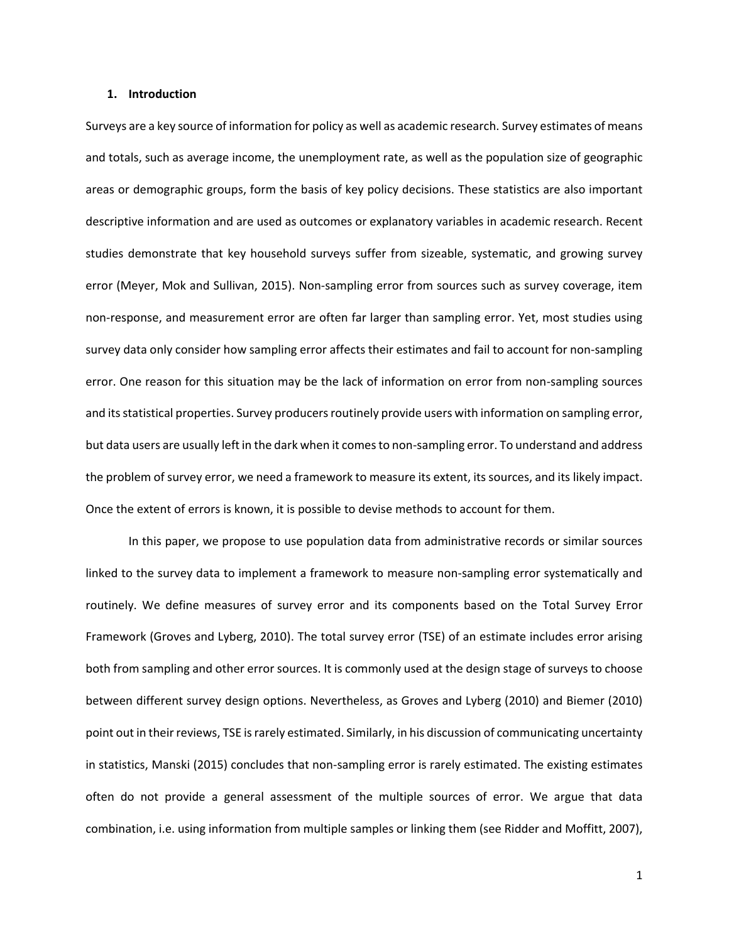#### **1. Introduction**

Surveys are a key source of information for policy as well as academic research. Survey estimates of means and totals, such as average income, the unemployment rate, as well as the population size of geographic areas or demographic groups, form the basis of key policy decisions. These statistics are also important descriptive information and are used as outcomes or explanatory variables in academic research. Recent studies demonstrate that key household surveys suffer from sizeable, systematic, and growing survey error (Meyer, Mok and Sullivan, 2015). Non-sampling error from sources such as survey coverage, item non-response, and measurement error are often far larger than sampling error. Yet, most studies using survey data only consider how sampling error affects their estimates and fail to account for non-sampling error. One reason for this situation may be the lack of information on error from non-sampling sources and its statistical properties. Survey producers routinely provide users with information on sampling error, but data users are usually left in the dark when it comes to non-sampling error. To understand and address the problem of survey error, we need a framework to measure its extent, its sources, and its likely impact. Once the extent of errors is known, it is possible to devise methods to account for them.

In this paper, we propose to use population data from administrative records or similar sources linked to the survey data to implement a framework to measure non-sampling error systematically and routinely. We define measures of survey error and its components based on the Total Survey Error Framework (Groves and Lyberg, 2010). The total survey error (TSE) of an estimate includes error arising both from sampling and other error sources. It is commonly used at the design stage of surveys to choose between different survey design options. Nevertheless, as Groves and Lyberg (2010) and Biemer (2010) point out in their reviews, TSE is rarely estimated. Similarly, in his discussion of communicating uncertainty in statistics, Manski (2015) concludes that non-sampling error is rarely estimated. The existing estimates often do not provide a general assessment of the multiple sources of error. We argue that data combination, i.e. using information from multiple samples or linking them (see Ridder and Moffitt, 2007),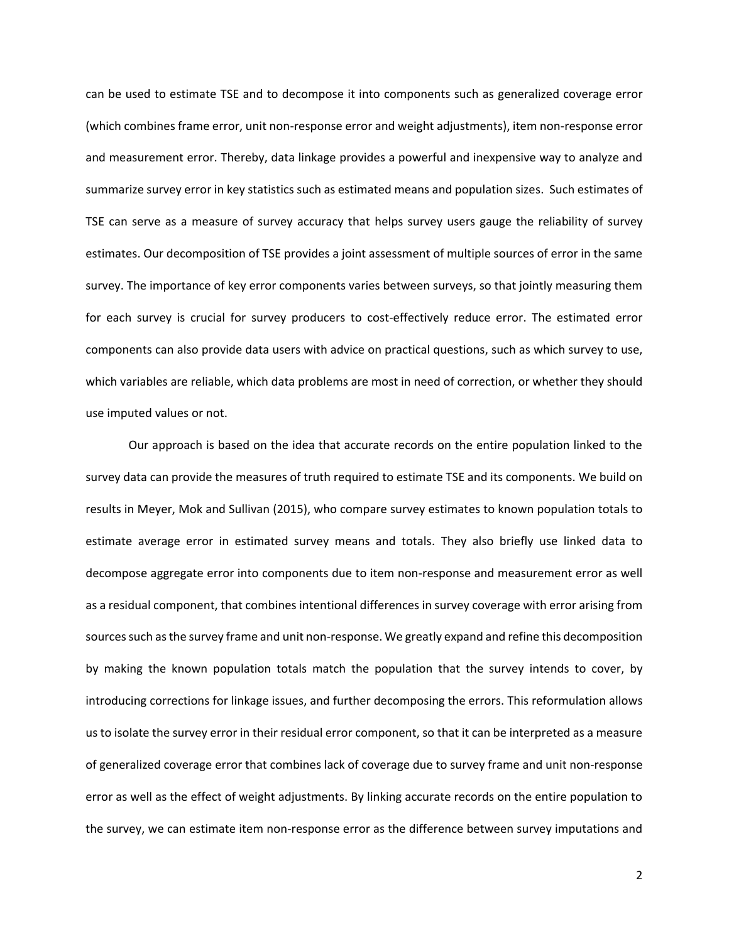can be used to estimate TSE and to decompose it into components such as generalized coverage error (which combines frame error, unit non-response error and weight adjustments), item non-response error and measurement error. Thereby, data linkage provides a powerful and inexpensive way to analyze and summarize survey error in key statistics such as estimated means and population sizes. Such estimates of TSE can serve as a measure of survey accuracy that helps survey users gauge the reliability of survey estimates. Our decomposition of TSE provides a joint assessment of multiple sources of error in the same survey. The importance of key error components varies between surveys, so that jointly measuring them for each survey is crucial for survey producers to cost-effectively reduce error. The estimated error components can also provide data users with advice on practical questions, such as which survey to use, which variables are reliable, which data problems are most in need of correction, or whether they should use imputed values or not.

Our approach is based on the idea that accurate records on the entire population linked to the survey data can provide the measures of truth required to estimate TSE and its components. We build on results in Meyer, Mok and Sullivan (2015), who compare survey estimates to known population totals to estimate average error in estimated survey means and totals. They also briefly use linked data to decompose aggregate error into components due to item non-response and measurement error as well as a residual component, that combines intentional differences in survey coverage with error arising from sources such as the survey frame and unit non-response. We greatly expand and refine this decomposition by making the known population totals match the population that the survey intends to cover, by introducing corrections for linkage issues, and further decomposing the errors. This reformulation allows us to isolate the survey error in their residual error component, so that it can be interpreted as a measure of generalized coverage error that combines lack of coverage due to survey frame and unit non-response error as well as the effect of weight adjustments. By linking accurate records on the entire population to the survey, we can estimate item non-response error as the difference between survey imputations and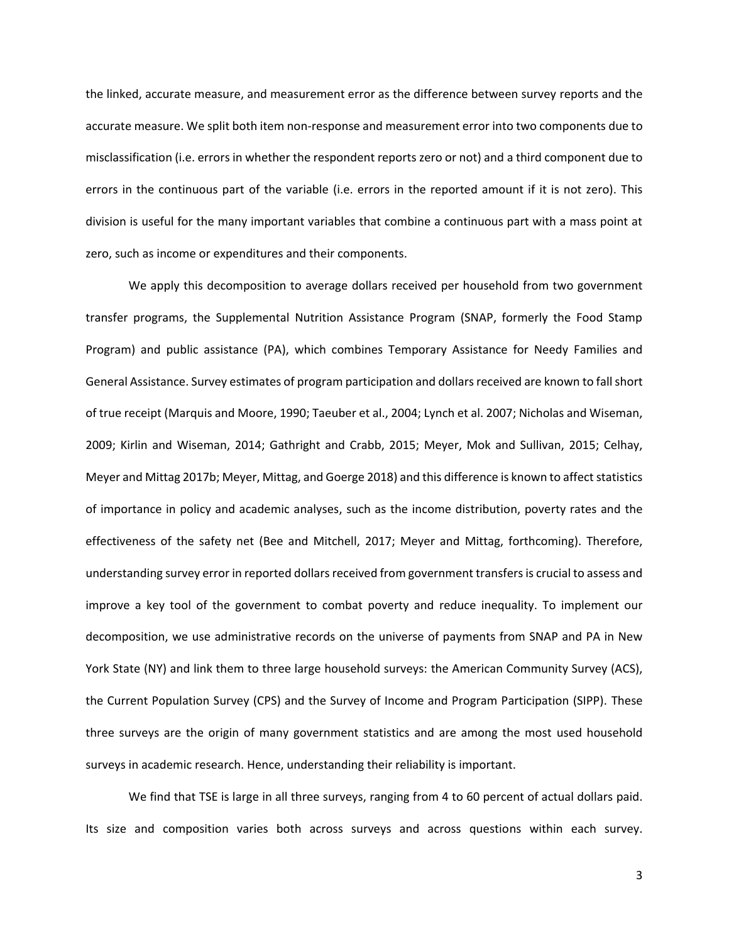the linked, accurate measure, and measurement error as the difference between survey reports and the accurate measure. We split both item non-response and measurement error into two components due to misclassification (i.e. errors in whether the respondent reports zero or not) and a third component due to errors in the continuous part of the variable (i.e. errors in the reported amount if it is not zero). This division is useful for the many important variables that combine a continuous part with a mass point at zero, such as income or expenditures and their components.

We apply this decomposition to average dollars received per household from two government transfer programs, the Supplemental Nutrition Assistance Program (SNAP, formerly the Food Stamp Program) and public assistance (PA), which combines Temporary Assistance for Needy Families and General Assistance. Survey estimates of program participation and dollars received are known to fall short of true receipt (Marquis and Moore, 1990; Taeuber et al., 2004; Lynch et al. 2007; Nicholas and Wiseman, 2009; Kirlin and Wiseman, 2014; Gathright and Crabb, 2015; Meyer, Mok and Sullivan, 2015; Celhay, Meyer and Mittag 2017b; Meyer, Mittag, and Goerge 2018) and this difference is known to affect statistics of importance in policy and academic analyses, such as the income distribution, poverty rates and the effectiveness of the safety net (Bee and Mitchell, 2017; Meyer and Mittag, forthcoming). Therefore, understanding survey error in reported dollars received from government transfers is crucial to assess and improve a key tool of the government to combat poverty and reduce inequality. To implement our decomposition, we use administrative records on the universe of payments from SNAP and PA in New York State (NY) and link them to three large household surveys: the American Community Survey (ACS), the Current Population Survey (CPS) and the Survey of Income and Program Participation (SIPP). These three surveys are the origin of many government statistics and are among the most used household surveys in academic research. Hence, understanding their reliability is important.

We find that TSE is large in all three surveys, ranging from 4 to 60 percent of actual dollars paid. Its size and composition varies both across surveys and across questions within each survey.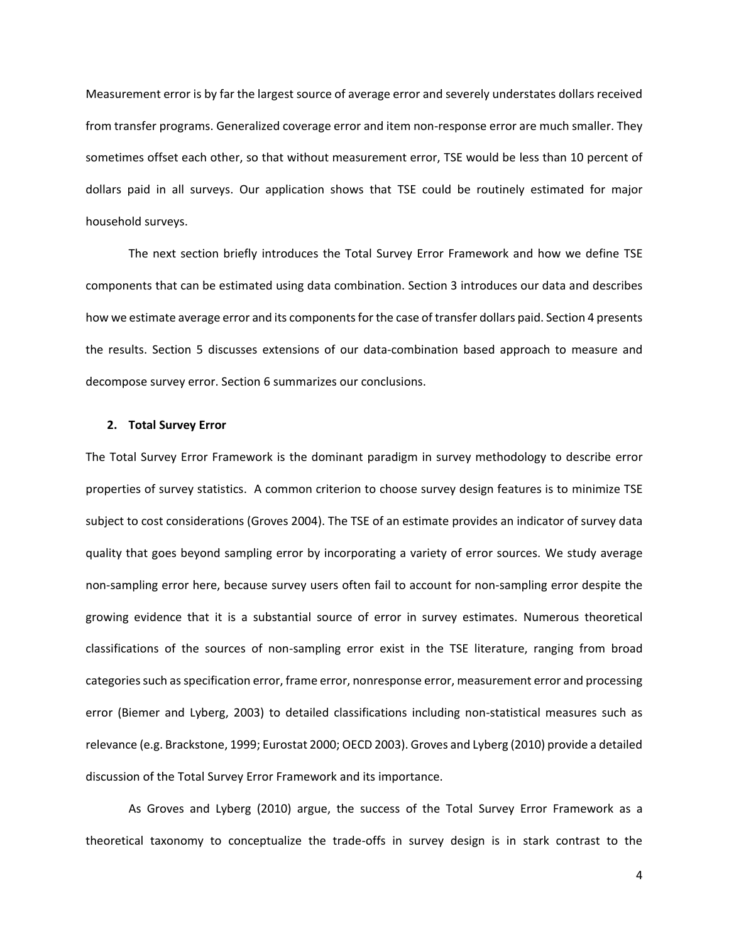Measurement error is by far the largest source of average error and severely understates dollars received from transfer programs. Generalized coverage error and item non-response error are much smaller. They sometimes offset each other, so that without measurement error, TSE would be less than 10 percent of dollars paid in all surveys. Our application shows that TSE could be routinely estimated for major household surveys.

The next section briefly introduces the Total Survey Error Framework and how we define TSE components that can be estimated using data combination. Section [3](#page-14-0) introduces our data and describes how we estimate average error and its components for the case of transfer dollars paid. Section [4](#page-22-0) presents the results. Section [5](#page-29-0) discusses extensions of our data-combination based approach to measure and decompose survey error. Section [6](#page-31-0) summarizes our conclusions.

## **2. Total Survey Error**

The Total Survey Error Framework is the dominant paradigm in survey methodology to describe error properties of survey statistics. A common criterion to choose survey design features is to minimize TSE subject to cost considerations (Groves 2004). The TSE of an estimate provides an indicator of survey data quality that goes beyond sampling error by incorporating a variety of error sources. We study average non-sampling error here, because survey users often fail to account for non-sampling error despite the growing evidence that it is a substantial source of error in survey estimates. Numerous theoretical classifications of the sources of non-sampling error exist in the TSE literature, ranging from broad categories such as specification error, frame error, nonresponse error, measurement error and processing error (Biemer and Lyberg, 2003) to detailed classifications including non-statistical measures such as relevance (e.g. Brackstone, 1999; Eurostat 2000; OECD 2003). Groves and Lyberg (2010) provide a detailed discussion of the Total Survey Error Framework and its importance.

As Groves and Lyberg (2010) argue, the success of the Total Survey Error Framework as a theoretical taxonomy to conceptualize the trade-offs in survey design is in stark contrast to the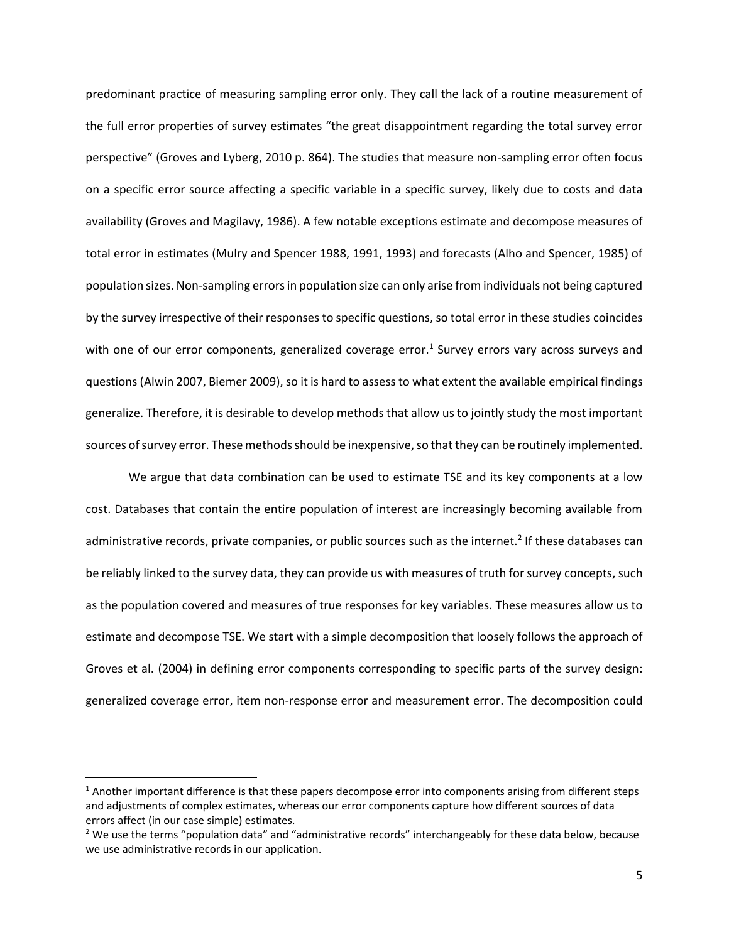predominant practice of measuring sampling error only. They call the lack of a routine measurement of the full error properties of survey estimates "the great disappointment regarding the total survey error perspective" (Groves and Lyberg, 2010 p. 864). The studies that measure non-sampling error often focus on a specific error source affecting a specific variable in a specific survey, likely due to costs and data availability (Groves and Magilavy, 1986). A few notable exceptions estimate and decompose measures of total error in estimates (Mulry and Spencer 1988, 1991, 1993) and forecasts (Alho and Spencer, 1985) of population sizes. Non-sampling errors in population size can only arise from individuals not being captured by the survey irrespective of their responses to specific questions, so total error in these studies coincides with one of our error components, generalized coverage error.<sup>1</sup> Survey errors vary across surveys and questions (Alwin 2007, Biemer 2009), so it is hard to assess to what extent the available empirical findings generalize. Therefore, it is desirable to develop methods that allow us to jointly study the most important sources of survey error. These methods should be inexpensive, so that they can be routinely implemented.

We argue that data combination can be used to estimate TSE and its key components at a low cost. Databases that contain the entire population of interest are increasingly becoming available from administrative records, private companies, or public sources such as the internet.<sup>2</sup> If these databases can be reliably linked to the survey data, they can provide us with measures of truth for survey concepts, such as the population covered and measures of true responses for key variables. These measures allow us to estimate and decompose TSE. We start with a simple decomposition that loosely follows the approach of Groves et al. (2004) in defining error components corresponding to specific parts of the survey design: generalized coverage error, item non-response error and measurement error. The decomposition could

 $1$  Another important difference is that these papers decompose error into components arising from different steps and adjustments of complex estimates, whereas our error components capture how different sources of data errors affect (in our case simple) estimates.

<sup>&</sup>lt;sup>2</sup> We use the terms "population data" and "administrative records" interchangeably for these data below, because we use administrative records in our application.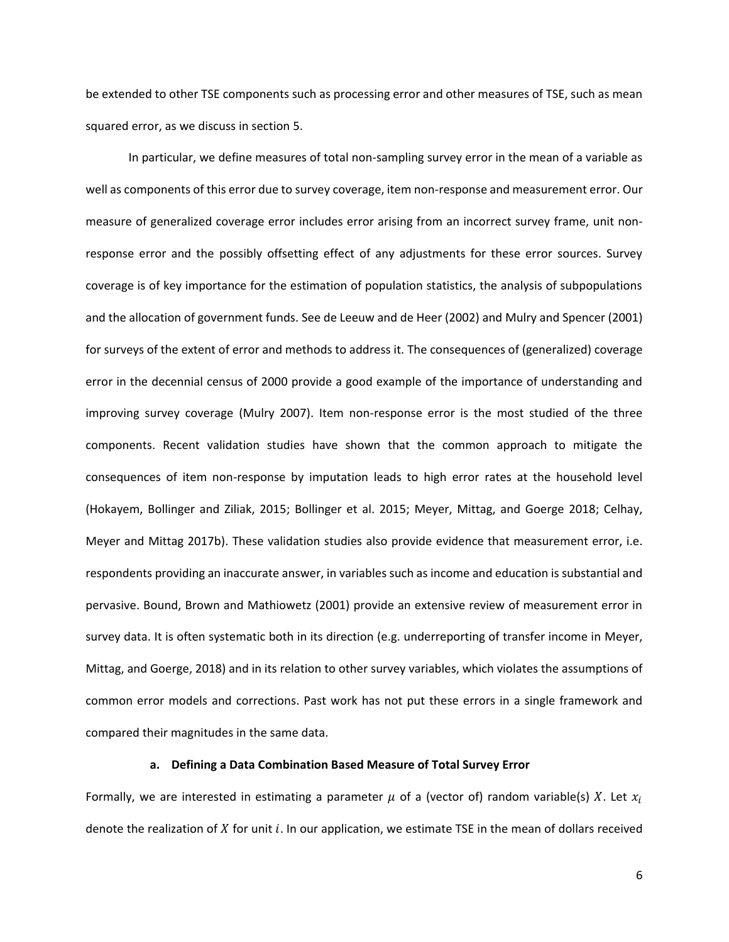be extended to other TSE components such as processing error and other measures of TSE, such as mean squared error, as we discuss in section [5.](#page-29-0)

In particular, we define measures of total non-sampling survey error in the mean of a variable as well as components of this error due to survey coverage, item non-response and measurement error. Our measure of generalized coverage error includes error arising from an incorrect survey frame, unit nonresponse error and the possibly offsetting effect of any adjustments for these error sources. Survey coverage is of key importance for the estimation of population statistics, the analysis of subpopulations and the allocation of government funds. See de Leeuw and de Heer (2002) and Mulry and Spencer (2001) for surveys of the extent of error and methods to address it. The consequences of (generalized) coverage error in the decennial census of 2000 provide a good example of the importance of understanding and improving survey coverage (Mulry 2007). Item non-response error is the most studied of the three components. Recent validation studies have shown that the common approach to mitigate the consequences of item non-response by imputation leads to high error rates at the household level (Hokayem, Bollinger and Ziliak, 2015; Bollinger et al. 2015; Meyer, Mittag, and Goerge 2018; Celhay, Meyer and Mittag 2017b). These validation studies also provide evidence that measurement error, i.e. respondents providing an inaccurate answer, in variables such as income and education is substantial and pervasive. Bound, Brown and Mathiowetz (2001) provide an extensive review of measurement error in survey data. It is often systematic both in its direction (e.g. underreporting of transfer income in Meyer, Mittag, and Goerge, 2018) and in its relation to other survey variables, which violates the assumptions of common error models and corrections. Past work has not put these errors in a single framework and compared their magnitudes in the same data.

# **a. Defining a Data Combination Based Measure of Total Survey Error**

<span id="page-7-0"></span>Formally, we are interested in estimating a parameter  $\mu$  of a (vector of) random variable(s) X. Let  $x_i$ denote the realization of  $X$  for unit  $i$ . In our application, we estimate TSE in the mean of dollars received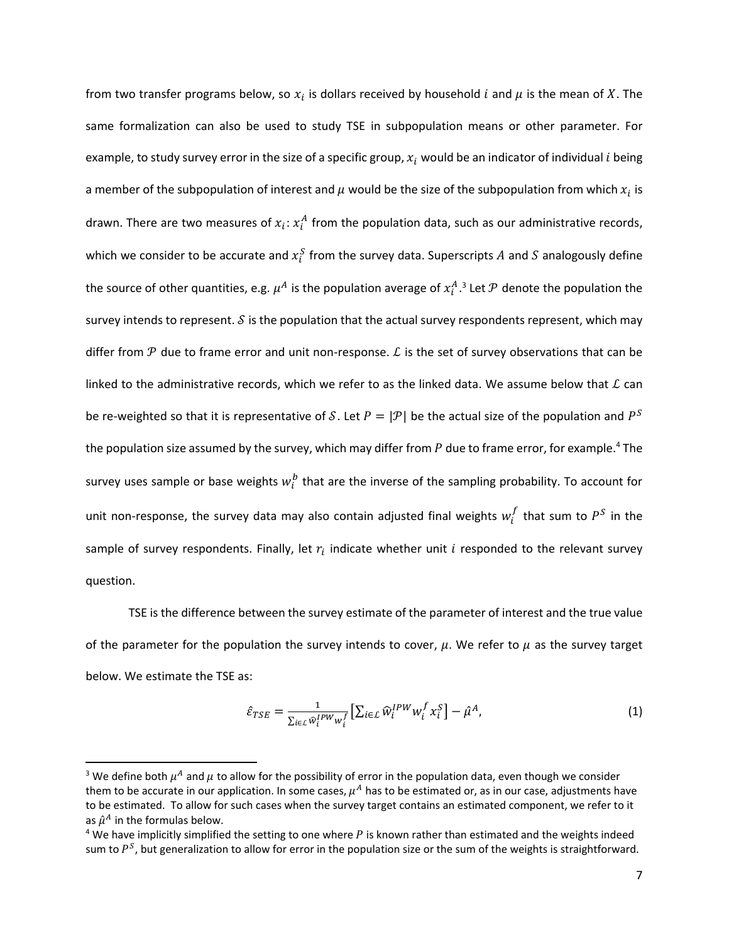from two transfer programs below, so  $x_i$  is dollars received by household i and  $\mu$  is the mean of X. The same formalization can also be used to study TSE in subpopulation means or other parameter. For example, to study survey error in the size of a specific group,  $x_i$  would be an indicator of individual *i* being a member of the subpopulation of interest and  $\mu$  would be the size of the subpopulation from which  $x_i$  is drawn. There are two measures of  $x_i$ :  $x_i^A$  from the population data, such as our administrative records, which we consider to be accurate and  $x_i^S$  from the survey data. Superscripts  $A$  and  $S$  analogously define the source of other quantities, e.g.  $\mu^A$  is the population average of  $x_t^A.$ <sup>3</sup> Let  ${\cal P}$  denote the population the survey intends to represent.  $S$  is the population that the actual survey respondents represent, which may differ from  $\mathcal P$  due to frame error and unit non-response.  $\mathcal L$  is the set of survey observations that can be linked to the administrative records, which we refer to as the linked data. We assume below that  $L$  can be re-weighted so that it is representative of S. Let  $P=|\mathcal{P}|$  be the actual size of the population and  $P^S$ the population size assumed by the survey, which may differ from  $P$  due to frame error, for example.<sup>4</sup> The survey uses sample or base weights  $w_i^b$  that are the inverse of the sampling probability. To account for unit non-response, the survey data may also contain adjusted final weights  $w_i^f$  that sum to  $P^S$  in the sample of survey respondents. Finally, let  $r_i$  indicate whether unit  $i$  responded to the relevant survey question.

TSE is the difference between the survey estimate of the parameter of interest and the true value of the parameter for the population the survey intends to cover,  $\mu$ . We refer to  $\mu$  as the survey target below. We estimate the TSE as:

<span id="page-8-0"></span>
$$
\hat{\varepsilon}_{TSE} = \frac{1}{\sum_{i \in \mathcal{L}} \hat{w}_i^{IPW} w_i^f} \left[ \sum_{i \in \mathcal{L}} \hat{w}_i^{IPW} w_i^f x_i^S \right] - \hat{\mu}^A, \tag{1}
$$

l

<sup>&</sup>lt;sup>3</sup> We define both  $\mu^A$  and  $\mu$  to allow for the possibility of error in the population data, even though we consider them to be accurate in our application. In some cases,  $\mu^A$  has to be estimated or, as in our case, adjustments have to be estimated. To allow for such cases when the survey target contains an estimated component, we refer to it as  $\hat{\mu}^{A}$  in the formulas below.

 $4$  We have implicitly simplified the setting to one where  $P$  is known rather than estimated and the weights indeed sum to  $P^S$ , but generalization to allow for error in the population size or the sum of the weights is straightforward.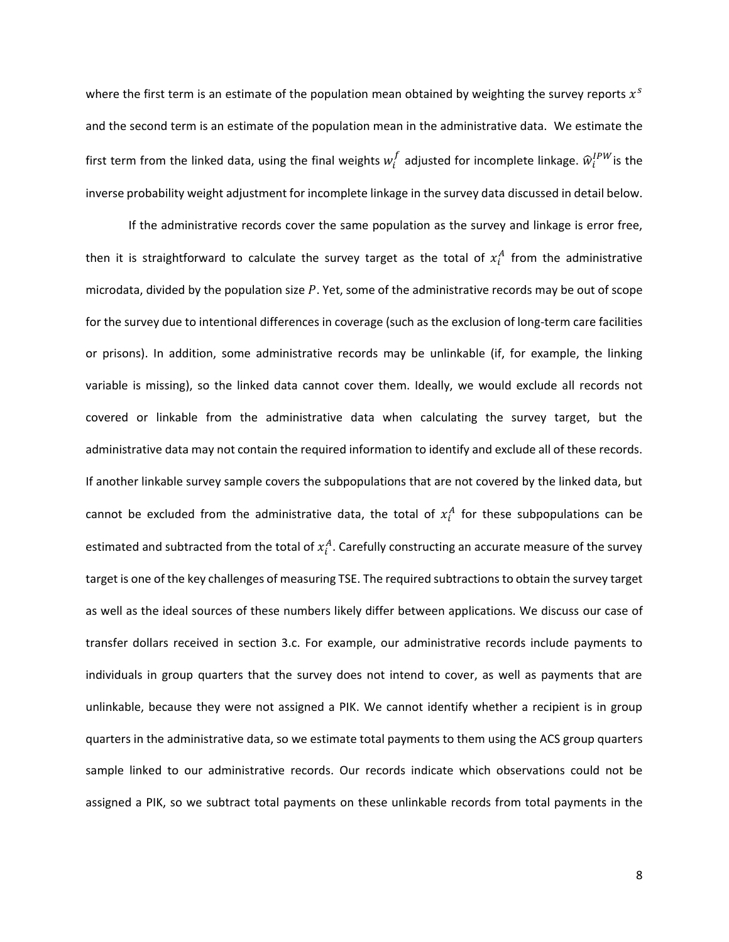where the first term is an estimate of the population mean obtained by weighting the survey reports  $x^s$ and the second term is an estimate of the population mean in the administrative data. We estimate the first term from the linked data, using the final weights  $w_i^f$  adjusted for incomplete linkage.  $\widehat{w}_i^{IPW}$ is the inverse probability weight adjustment for incomplete linkage in the survey data discussed in detail below.

If the administrative records cover the same population as the survey and linkage is error free, then it is straightforward to calculate the survey target as the total of  $x_i^A$  from the administrative microdata, divided by the population size  $P$ . Yet, some of the administrative records may be out of scope for the survey due to intentional differences in coverage (such as the exclusion of long-term care facilities or prisons). In addition, some administrative records may be unlinkable (if, for example, the linking variable is missing), so the linked data cannot cover them. Ideally, we would exclude all records not covered or linkable from the administrative data when calculating the survey target, but the administrative data may not contain the required information to identify and exclude all of these records. If another linkable survey sample covers the subpopulations that are not covered by the linked data, but cannot be excluded from the administrative data, the total of  $x_i^A$  for these subpopulations can be estimated and subtracted from the total of  $x_i^A$ . Carefully constructing an accurate measure of the survey target is one of the key challenges of measuring TSE. The required subtractions to obtain the survey target as well as the ideal sources of these numbers likely differ between applications. We discuss our case of transfer dollars received in section [3.c.](#page-19-0) For example, our administrative records include payments to individuals in group quarters that the survey does not intend to cover, as well as payments that are unlinkable, because they were not assigned a PIK. We cannot identify whether a recipient is in group quarters in the administrative data, so we estimate total payments to them using the ACS group quarters sample linked to our administrative records. Our records indicate which observations could not be assigned a PIK, so we subtract total payments on these unlinkable records from total payments in the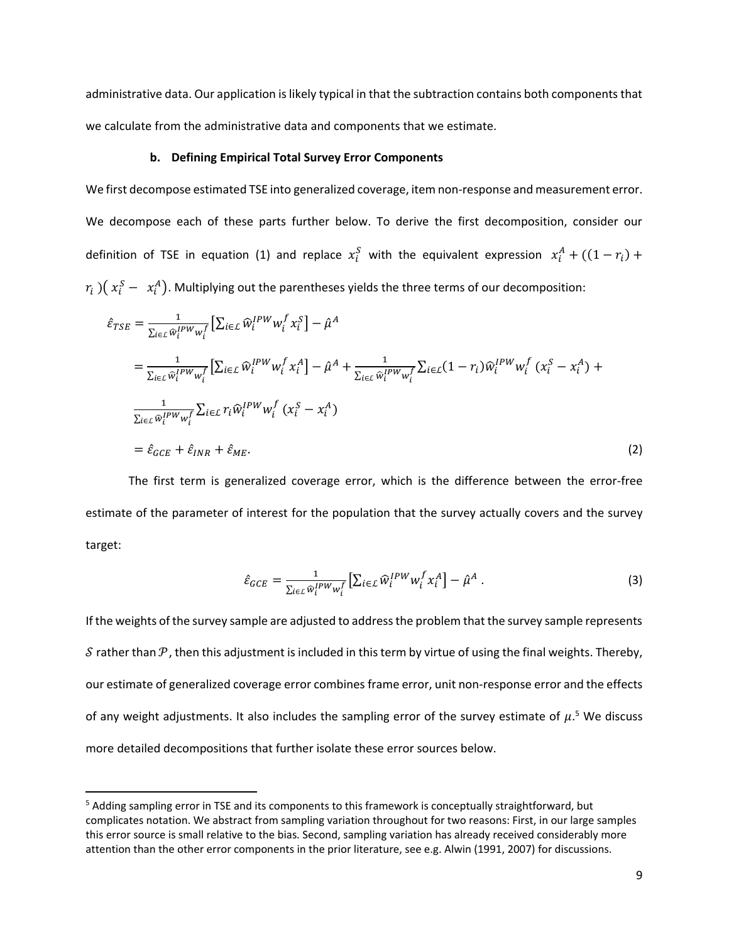administrative data. Our application is likely typical in that the subtraction contains both components that we calculate from the administrative data and components that we estimate.

#### **b. Defining Empirical Total Survey Error Components**

<span id="page-10-2"></span>We first decompose estimated TSE into generalized coverage, item non-response and measurement error. We decompose each of these parts further below. To derive the first decomposition, consider our definition of TSE in equation [\(1\)](#page-8-0) and replace  $x_i^S$  with the equivalent expression  $x_i^A + ((1-r_i) +$  $(r_i\ ) \bigl(\ x_i^S-\ x_i^A\bigr).$  Multiplying out the parentheses yields the three terms of our decomposition:

$$
\hat{\varepsilon}_{TSE} = \frac{1}{\sum_{i\in\mathcal{L}} \hat{w}_i^{IPW} w_i^f} \left[ \sum_{i\in\mathcal{L}} \hat{w}_i^{IPW} w_i^f x_i^S \right] - \hat{\mu}^A
$$
\n
$$
= \frac{1}{\sum_{i\in\mathcal{L}} \hat{w}_i^{IPW} w_i^f} \left[ \sum_{i\in\mathcal{L}} \hat{w}_i^{IPW} w_i^f x_i^A \right] - \hat{\mu}^A + \frac{1}{\sum_{i\in\mathcal{L}} \hat{w}_i^{IPW} w_i^f} \sum_{i\in\mathcal{L}} (1 - r_i) \hat{w}_i^{IPW} w_i^f (x_i^S - x_i^A) + \frac{1}{\sum_{i\in\mathcal{L}} \hat{w}_i^{IPW} w_i^f} \sum_{i\in\mathcal{L}} r_i \hat{w}_i^{IPW} w_i^f (x_i^S - x_i^A)
$$
\n
$$
= \hat{\varepsilon}_{GCE} + \hat{\varepsilon}_{INR} + \hat{\varepsilon}_{ME}.
$$
\n(2)

The first term is generalized coverage error, which is the difference between the error-free estimate of the parameter of interest for the population that the survey actually covers and the survey target:

<span id="page-10-1"></span><span id="page-10-0"></span>
$$
\hat{\varepsilon}_{GCE} = \frac{1}{\sum_{i \in \mathcal{L}} \hat{w}_i^{IPW} w_i^f} \left[ \sum_{i \in \mathcal{L}} \hat{w}_i^{IPW} w_i^f x_i^A \right] - \hat{\mu}^A \,. \tag{3}
$$

If the weights of the survey sample are adjusted to address the problem that the survey sample represents S rather than  $P$ , then this adjustment is included in this term by virtue of using the final weights. Thereby, our estimate of generalized coverage error combines frame error, unit non-response error and the effects of any weight adjustments. It also includes the sampling error of the survey estimate of  $\mu$ .<sup>5</sup> We discuss more detailed decompositions that further isolate these error sources below.

<sup>&</sup>lt;sup>5</sup> Adding sampling error in TSE and its components to this framework is conceptually straightforward, but complicates notation. We abstract from sampling variation throughout for two reasons: First, in our large samples this error source is small relative to the bias. Second, sampling variation has already received considerably more attention than the other error components in the prior literature, see e.g. Alwin (1991, 2007) for discussions.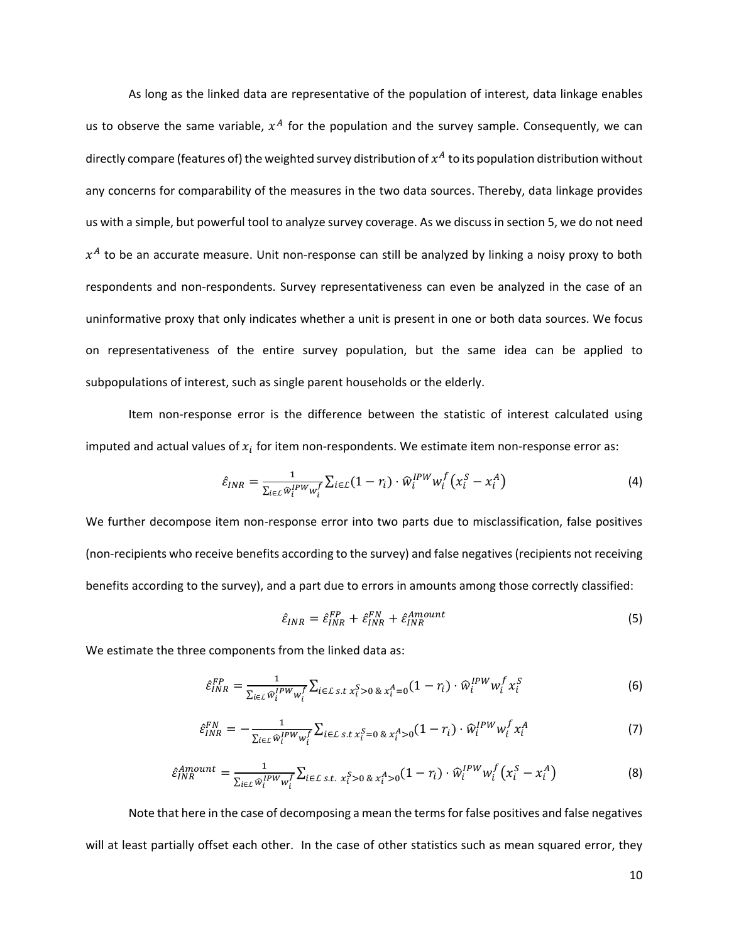As long as the linked data are representative of the population of interest, data linkage enables us to observe the same variable,  $x^A$  for the population and the survey sample. Consequently, we can directly compare (features of) the weighted survey distribution of  $x^A$  to its population distribution without any concerns for comparability of the measures in the two data sources. Thereby, data linkage provides us with a simple, but powerful tool to analyze survey coverage. As we discuss in section [5,](#page-29-0) we do not need  $x^A$  to be an accurate measure. Unit non-response can still be analyzed by linking a noisy proxy to both respondents and non-respondents. Survey representativeness can even be analyzed in the case of an uninformative proxy that only indicates whether a unit is present in one or both data sources. We focus on representativeness of the entire survey population, but the same idea can be applied to subpopulations of interest, such as single parent households or the elderly.

Item non-response error is the difference between the statistic of interest calculated using imputed and actual values of  $x_i$  for item non-respondents. We estimate item non-response error as:

$$
\hat{\varepsilon}_{INR} = \frac{1}{\sum_{i \in \mathcal{L}} \hat{w}_i^{IPW} w_i^f} \sum_{i \in \mathcal{L}} (1 - r_i) \cdot \hat{w}_i^{IPW} w_i^f \left( x_i^S - x_i^A \right) \tag{4}
$$

We further decompose item non-response error into two parts due to misclassification, false positives (non-recipients who receive benefits according to the survey) and false negatives (recipients not receiving benefits according to the survey), and a part due to errors in amounts among those correctly classified:

$$
\hat{\varepsilon}_{INR} = \hat{\varepsilon}_{INR}^{FP} + \hat{\varepsilon}_{INR}^{FN} + \hat{\varepsilon}_{INR}^{Amount}
$$
\n(5)

We estimate the three components from the linked data as:

$$
\hat{\varepsilon}_{INR}^{FP} = \frac{1}{\sum_{i \in \mathcal{L}} \hat{w}_i^{IPW} w_i^f} \sum_{i \in \mathcal{L} \text{ s.t } x_i^S > 0} \, \& \, x_i^A = 0} (1 - r_i) \cdot \hat{w}_i^{IPW} w_i^f \, x_i^S \tag{6}
$$

$$
\hat{\varepsilon}_{INR}^{FN} = -\frac{1}{\sum_{i\in\mathcal{L}}\widehat{w}_i^{IPW}w_i^f} \sum_{i\in\mathcal{L}} \sum_{s,t} \sum_{x_i^S=0} \sum_{\alpha} \sum_{i'} (1-r_i) \cdot \widehat{w}_i^{IPW}w_i^f x_i^A \tag{7}
$$

$$
\hat{\varepsilon}_{INR}^{Amount} = \frac{1}{\sum_{i \in \mathcal{L}} \hat{w}_i^{IPW} w_i^f} \sum_{i \in \mathcal{L} \text{ s.t. } x_i^S > 0} \hat{\varepsilon}_{X_i^A > 0} (1 - r_i) \cdot \hat{w}_i^{IPW} w_i^f (x_i^S - x_i^A)
$$
(8)

Note that here in the case of decomposing a mean the terms for false positives and false negatives will at least partially offset each other. In the case of other statistics such as mean squared error, they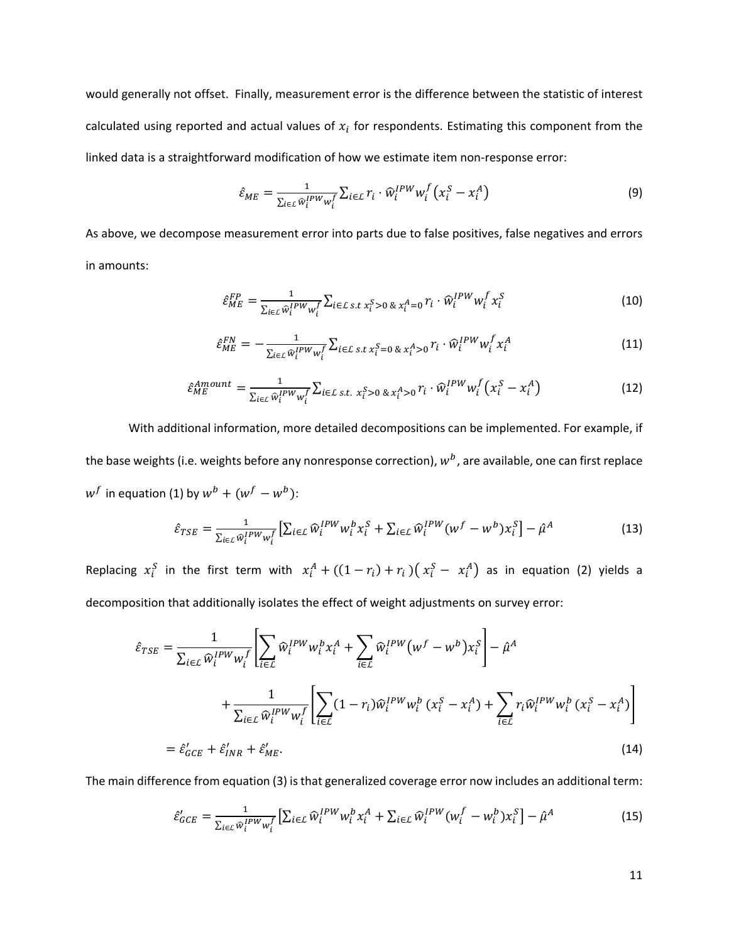would generally not offset. Finally, measurement error is the difference between the statistic of interest calculated using reported and actual values of  $x_i$  for respondents. Estimating this component from the linked data is a straightforward modification of how we estimate item non-response error:

$$
\hat{\varepsilon}_{ME} = \frac{1}{\sum_{i \in \mathcal{L}} \hat{w}_i^{IPW} w_i^f} \sum_{i \in \mathcal{L}} r_i \cdot \hat{w}_i^{IPW} w_i^f (x_i^S - x_i^A)
$$
(9)

As above, we decompose measurement error into parts due to false positives, false negatives and errors in amounts:

$$
\hat{\varepsilon}_{ME}^{FP} = \frac{1}{\sum_{i \in \mathcal{L}} \hat{w}_i^{IPW} w_i^f} \sum_{i \in \mathcal{L}} \sum_{s.t.} x_i^S > 0 \& x_i^A = 0} r_i \cdot \hat{w}_i^{IPW} w_i^f x_i^S
$$
(10)

$$
\hat{\varepsilon}_{ME}^{FN} = -\frac{1}{\sum_{i \in \mathcal{L}} \hat{w}_i^{IPW} w_i^f} \sum_{i \in \mathcal{L}} \sum_{s.t.} x_i^S = 0 \& x_i^A > 0 \, \tilde{r}_i \cdot \hat{w}_i^{IPW} w_i^f x_i^A \tag{11}
$$

$$
\hat{\varepsilon}_{ME}^{Amount} = \frac{1}{\sum_{i \in \mathcal{L}} \hat{w}_i^{IPW} w_i^f} \sum_{i \in \mathcal{L}} \sum_{s.t.} x_i^S > 0 \& x_i^A > 0} r_i \cdot \hat{w}_i^{IPW} w_i^f (x_i^S - x_i^A)
$$
(12)

With additional information, more detailed decompositions can be implemented. For example, if the base weights (i.e. weights before any nonresponse correction),  $w^b$ , are available, one can first replace  $w^f$  in equation [\(1\)](#page-8-0) by  $w^b + (w^f - w^b)$ :

$$
\hat{\varepsilon}_{TSE} = \frac{1}{\sum_{i \in \mathcal{L}} \hat{w}_i^{IPW} w_i^f} \left[ \sum_{i \in \mathcal{L}} \hat{w}_i^{IPW} w_i^b x_i^S + \sum_{i \in \mathcal{L}} \hat{w}_i^{IPW} (w^f - w^b) x_i^S \right] - \hat{\mu}^A
$$
(13)

Replacing  $x_i^S$  in the first term with  $x_i^A + ((1-r_i) + r_i)(x_i^S - x_i^A)$  as in equation [\(2\)](#page-10-0) yields a decomposition that additionally isolates the effect of weight adjustments on survey error:

$$
\hat{\varepsilon}_{TSE} = \frac{1}{\sum_{i \in \mathcal{L}} \widehat{w}_i^{IPW} w_i^f} \left[ \sum_{i \in \mathcal{L}} \widehat{w}_i^{IPW} w_i^b x_i^A + \sum_{i \in \mathcal{L}} \widehat{w}_i^{IPW} (w^f - w^b) x_i^S \right] - \widehat{\mu}^A
$$

$$
+ \frac{1}{\sum_{i \in \mathcal{L}} \widehat{w}_i^{IPW} w_i^f} \left[ \sum_{i \in \mathcal{L}} (1 - r_i) \widehat{w}_i^{IPW} w_i^b (x_i^S - x_i^A) + \sum_{i \in \mathcal{L}} r_i \widehat{w}_i^{IPW} w_i^b (x_i^S - x_i^A) \right]
$$

$$
= \widehat{\varepsilon}_{GCE}' + \widehat{\varepsilon}_{INR}' + \widehat{\varepsilon}_{ME}'. \tag{14}
$$

The main difference from equation [\(3\)](#page-10-1) is that generalized coverage error now includes an additional term:

<span id="page-12-0"></span>
$$
\hat{\varepsilon}_{GCE}' = \frac{1}{\sum_{i \in \mathcal{L}} \hat{w}_i^{IPW} w_i^f} \left[ \sum_{i \in \mathcal{L}} \hat{w}_i^{IPW} w_i^b x_i^A + \sum_{i \in \mathcal{L}} \hat{w}_i^{IPW} (w_i^f - w_i^b) x_i^S \right] - \hat{\mu}^A
$$
(15)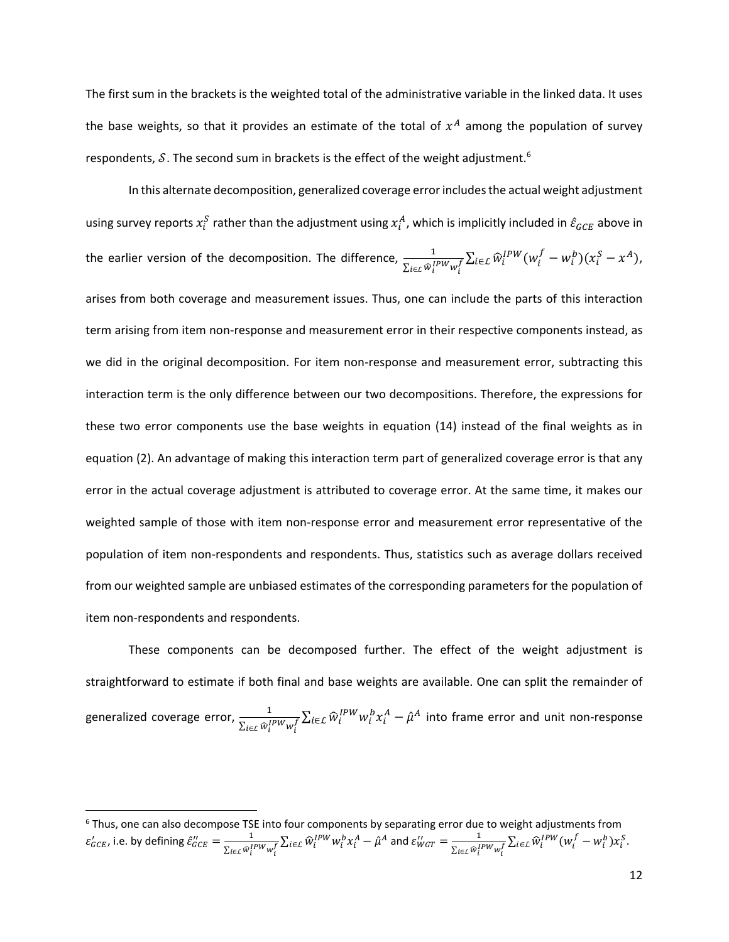The first sum in the brackets is the weighted total of the administrative variable in the linked data. It uses the base weights, so that it provides an estimate of the total of  $x^A$  among the population of survey respondents,  $\delta$ . The second sum in brackets is the effect of the weight adjustment.<sup>6</sup>

In this alternate decomposition, generalized coverage error includes the actual weight adjustment using survey reports  $x_i^S$  rather than the adjustment using  $x_i^A$ , which is implicitly included in  $\hat{\varepsilon}_{GCE}$  above in the earlier version of the decomposition. The difference,  $\frac{1}{\sum_{i\in\mathcal{L}}\widehat{w}_i^{IPW}w_i^f}\sum_{i\in\mathcal{L}}\widehat{w}_i^{IPW}(w_i^f-w_i^b)(x_i^S-x^A)$ , arises from both coverage and measurement issues. Thus, one can include the parts of this interaction term arising from item non-response and measurement error in their respective components instead, as we did in the original decomposition. For item non-response and measurement error, subtracting this interaction term is the only difference between our two decompositions. Therefore, the expressions for these two error components use the base weights in equation [\(14\)](#page-12-0) instead of the final weights as in equation [\(2\)](#page-10-0). An advantage of making this interaction term part of generalized coverage error is that any error in the actual coverage adjustment is attributed to coverage error. At the same time, it makes our weighted sample of those with item non-response error and measurement error representative of the population of item non-respondents and respondents. Thus, statistics such as average dollars received from our weighted sample are unbiased estimates of the corresponding parameters for the population of item non-respondents and respondents.

These components can be decomposed further. The effect of the weight adjustment is straightforward to estimate if both final and base weights are available. One can split the remainder of generalized coverage error,  $\frac{1}{\Sigma - \alpha l}$  $\frac{1}{\sum_{i\in\mathcal{L}}\hat{w}_i^{IPW}w_i^f}\sum_{i\in\mathcal{L}}\hat{w}_i^{IPW}w_i^bx_i^A-\hat{\mu}^A$  into frame error and unit non-response

 $^6$  Thus, one can also decompose TSE into four components by separating error due to weight adjustments from  $\varepsilon'_{GCE}$ , i.e. by defining  $\hat{\varepsilon}''_{GCE} = \frac{1}{\Sigma - \varepsilon^2}$  $\frac{1}{\sum_{i\in\mathcal{L}}\widehat{w}_i^{IPW}w_i^f}\sum_{i\in\mathcal{L}}\widehat{w}_i^{IPW}w_i^bx_i^A-\hat{\mu}^A$  and  $\varepsilon''_{WGT}=\frac{1}{\sum_{i\in\mathcal{L}}\widehat{w}_i^I}$  $\frac{1}{\sum_{i\in L}\widehat{w}_i^{IPW}w_i^f}\sum_{i\in L}\widehat{w}_i^{IPW}(w_i^f-w_i^b)x_i^S.$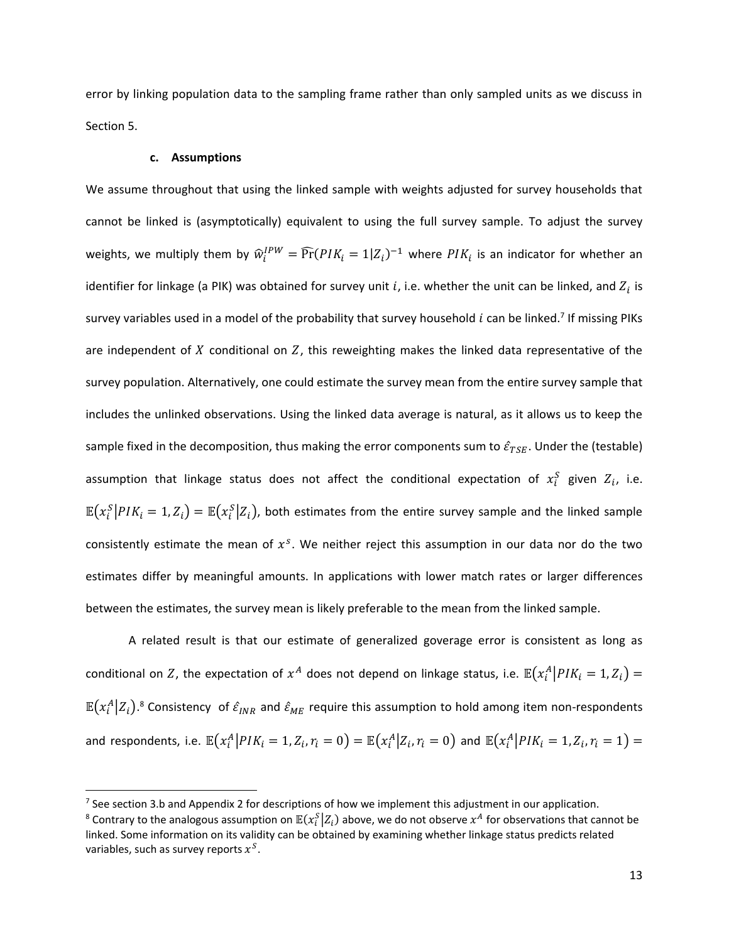<span id="page-14-0"></span>error by linking population data to the sampling frame rather than only sampled units as we discuss in Section [5.](#page-29-0)

## **c. Assumptions**

 $\overline{\phantom{a}}$ 

We assume throughout that using the linked sample with weights adjusted for survey households that cannot be linked is (asymptotically) equivalent to using the full survey sample. To adjust the survey weights, we multiply them by  $\widehat w_i^{IPW} = \widehat{\Pr}(PIK_i=1|Z_i)^{-1}$  where  $PIK_i$  is an indicator for whether an identifier for linkage (a PIK) was obtained for survey unit *i*, i.e. whether the unit can be linked, and  $Z_i$  is survey variables used in a model of the probability that survey household  $i$  can be linked.<sup>7</sup> If missing PIKs are independent of  $X$  conditional on  $Z$ , this reweighting makes the linked data representative of the survey population. Alternatively, one could estimate the survey mean from the entire survey sample that includes the unlinked observations. Using the linked data average is natural, as it allows us to keep the sample fixed in the decomposition, thus making the error components sum to  $\hat{\varepsilon}_{TSE}$ . Under the (testable) assumption that linkage status does not affect the conditional expectation of  $x_i^S$  given  $Z_i$ , i.e.  $\mathbb{E}(x_i^S|PIK_i=1,Z_i)=\mathbb{E}(x_i^S|Z_i)$ , both estimates from the entire survey sample and the linked sample consistently estimate the mean of  $x^s$ . We neither reject this assumption in our data nor do the two estimates differ by meaningful amounts. In applications with lower match rates or larger differences between the estimates, the survey mean is likely preferable to the mean from the linked sample.

A related result is that our estimate of generalized goverage error is consistent as long as conditional on  $Z$ , the expectation of  $x^A$  does not depend on linkage status, i.e.  $\mathbb{E}\big(x_i^A\big|PIK_i=1,Z_i\big)=$  $\mathbb{E}(x_i^A|Z_i).$ <sup>8</sup> Consistency of  $\hat{\varepsilon}_{INR}$  and  $\hat{\varepsilon}_{ME}$  require this assumption to hold among item non-respondents and respondents, i.e.  $\mathbb{E}\big(x_i^A\big|PIK_i=1,Z_i,r_i=0\big)=\mathbb{E}\big(x_i^A\big|Z_i,r_i=0\big)$  and  $\mathbb{E}\big(x_i^A\big|PIK_i=1,Z_i,r_i=1\big)=$ 

<sup>&</sup>lt;sup>7</sup> See section [3.b](#page-17-0) and Appendix 2 for descriptions of how we implement this adjustment in our application.

 $^8$  Contrary to the analogous assumption on  $\mathbb{E}(x_i^S\big|Z_i)$  above, we do not observe  $x^A$  for observations that cannot be linked. Some information on its validity can be obtained by examining whether linkage status predicts related variables, such as survey reports  $x^{S}$ .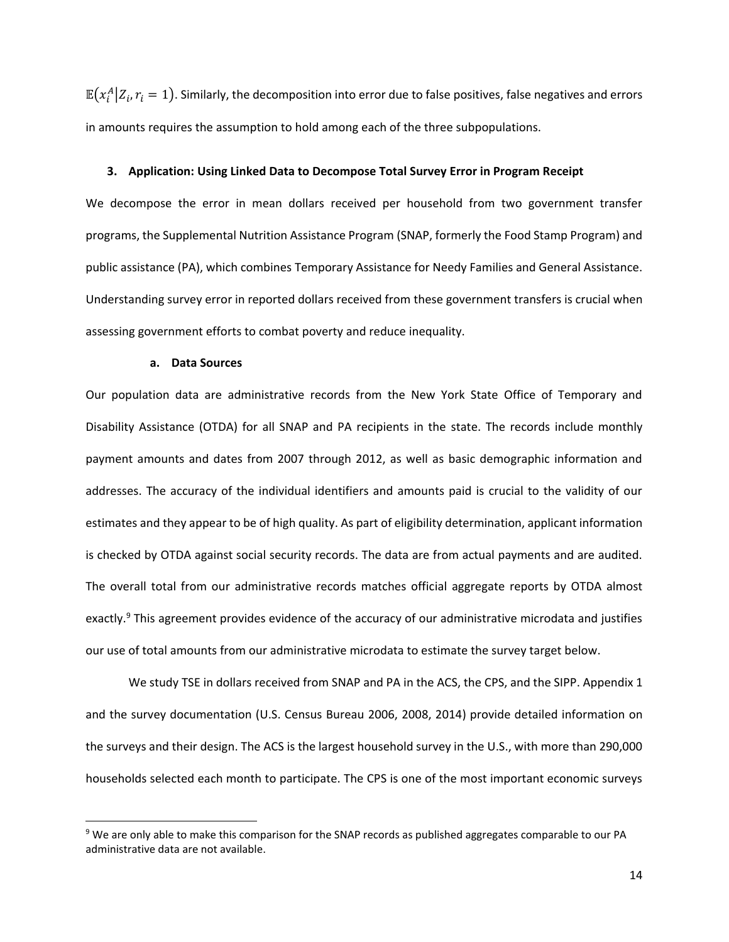$\mathbb{E}\big(x_i^A\big|Z_i,r_i=1\big).$  Similarly, the decomposition into error due to false positives, false negatives and errors in amounts requires the assumption to hold among each of the three subpopulations.

#### **3. Application: Using Linked Data to Decompose Total Survey Error in Program Receipt**

We decompose the error in mean dollars received per household from two government transfer programs, the Supplemental Nutrition Assistance Program (SNAP, formerly the Food Stamp Program) and public assistance (PA), which combines Temporary Assistance for Needy Families and General Assistance. Understanding survey error in reported dollars received from these government transfers is crucial when assessing government efforts to combat poverty and reduce inequality.

#### **a. Data Sources**

 $\overline{\phantom{a}}$ 

<span id="page-15-0"></span>Our population data are administrative records from the New York State Office of Temporary and Disability Assistance (OTDA) for all SNAP and PA recipients in the state. The records include monthly payment amounts and dates from 2007 through 2012, as well as basic demographic information and addresses. The accuracy of the individual identifiers and amounts paid is crucial to the validity of our estimates and they appear to be of high quality. As part of eligibility determination, applicant information is checked by OTDA against social security records. The data are from actual payments and are audited. The overall total from our administrative records matches official aggregate reports by OTDA almost exactly.<sup>9</sup> This agreement provides evidence of the accuracy of our administrative microdata and justifies our use of total amounts from our administrative microdata to estimate the survey target below.

We study TSE in dollars received from SNAP and PA in the ACS, the CPS, and the SIPP. Appendix 1 and the survey documentation (U.S. Census Bureau 2006, 2008, 2014) provide detailed information on the surveys and their design. The ACS is the largest household survey in the U.S., with more than 290,000 households selected each month to participate. The CPS is one of the most important economic surveys

<sup>9</sup> We are only able to make this comparison for the SNAP records as published aggregates comparable to our PA administrative data are not available.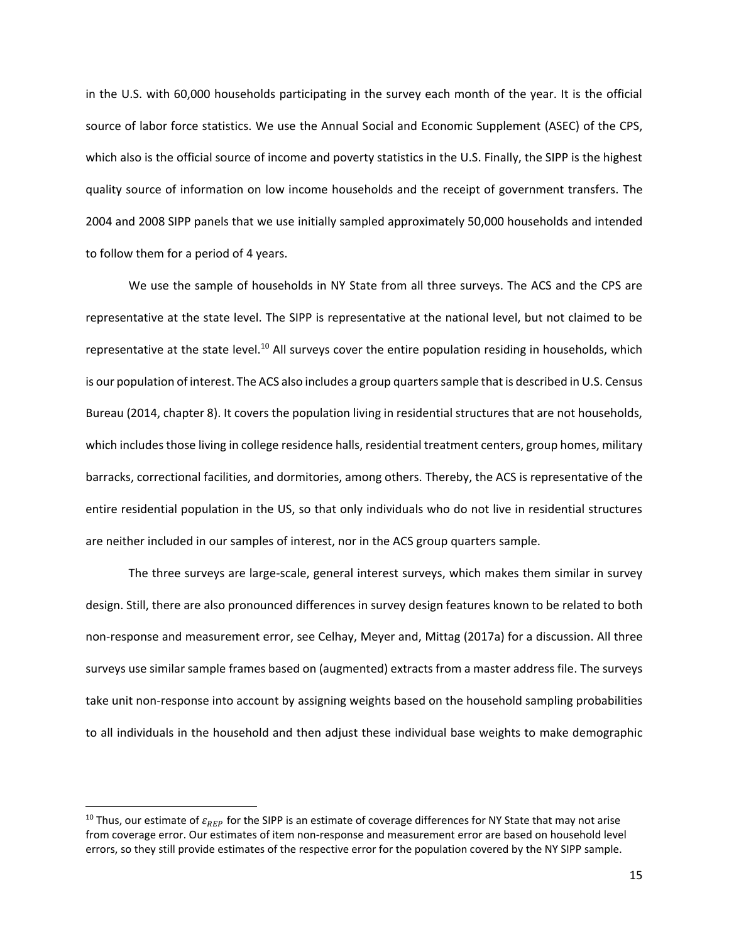in the U.S. with 60,000 households participating in the survey each month of the year. It is the official source of labor force statistics. We use the Annual Social and Economic Supplement (ASEC) of the CPS, which also is the official source of income and poverty statistics in the U.S. Finally, the SIPP is the highest quality source of information on low income households and the receipt of government transfers. The 2004 and 2008 SIPP panels that we use initially sampled approximately 50,000 households and intended to follow them for a period of 4 years.

We use the sample of households in NY State from all three surveys. The ACS and the CPS are representative at the state level. The SIPP is representative at the national level, but not claimed to be representative at the state level.<sup>10</sup> All surveys cover the entire population residing in households, which is our population of interest. The ACS also includes a group quarterssample that is described in U.S. Census Bureau (2014, chapter 8). It covers the population living in residential structures that are not households, which includes those living in college residence halls, residential treatment centers, group homes, military barracks, correctional facilities, and dormitories, among others. Thereby, the ACS is representative of the entire residential population in the US, so that only individuals who do not live in residential structures are neither included in our samples of interest, nor in the ACS group quarters sample.

The three surveys are large-scale, general interest surveys, which makes them similar in survey design. Still, there are also pronounced differences in survey design features known to be related to both non-response and measurement error, see Celhay, Meyer and, Mittag (2017a) for a discussion. All three surveys use similar sample frames based on (augmented) extracts from a master address file. The surveys take unit non-response into account by assigning weights based on the household sampling probabilities to all individuals in the household and then adjust these individual base weights to make demographic

<sup>&</sup>lt;sup>10</sup> Thus, our estimate of  $\varepsilon_{REP}$  for the SIPP is an estimate of coverage differences for NY State that may not arise from coverage error. Our estimates of item non-response and measurement error are based on household level errors, so they still provide estimates of the respective error for the population covered by the NY SIPP sample.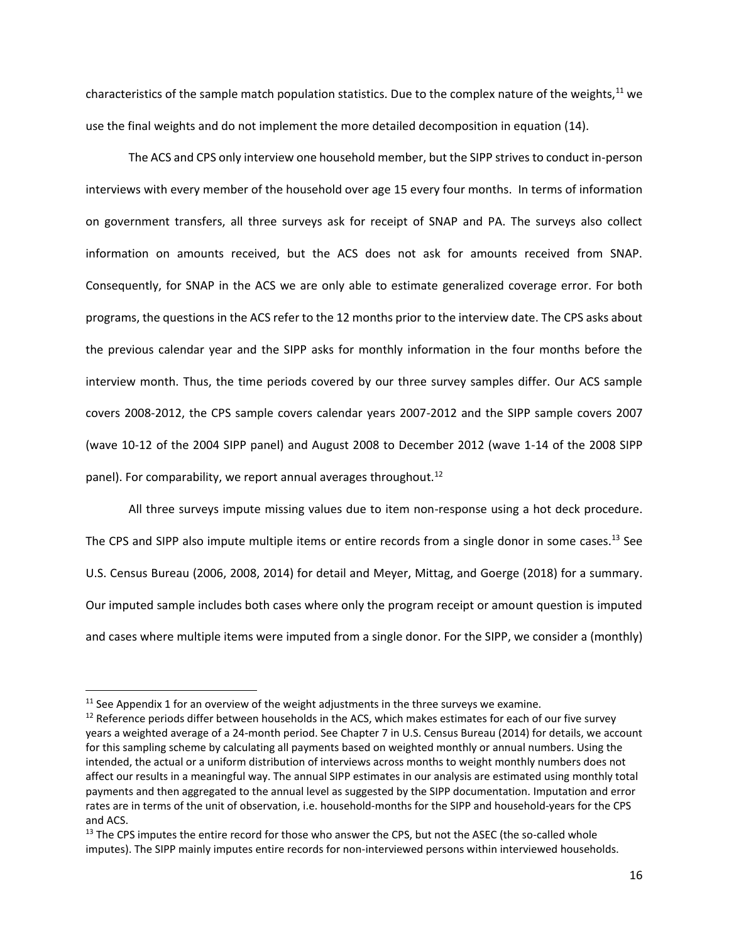<span id="page-17-0"></span>characteristics of the sample match population statistics. Due to the complex nature of the weights, $11$  we use the final weights and do not implement the more detailed decomposition in equation [\(14\)](#page-12-0).

The ACS and CPS only interview one household member, but the SIPP strives to conduct in-person interviews with every member of the household over age 15 every four months. In terms of information on government transfers, all three surveys ask for receipt of SNAP and PA. The surveys also collect information on amounts received, but the ACS does not ask for amounts received from SNAP. Consequently, for SNAP in the ACS we are only able to estimate generalized coverage error. For both programs, the questions in the ACS refer to the 12 months prior to the interview date. The CPS asks about the previous calendar year and the SIPP asks for monthly information in the four months before the interview month. Thus, the time periods covered by our three survey samples differ. Our ACS sample covers 2008-2012, the CPS sample covers calendar years 2007-2012 and the SIPP sample covers 2007 (wave 10-12 of the 2004 SIPP panel) and August 2008 to December 2012 (wave 1-14 of the 2008 SIPP panel). For comparability, we report annual averages throughout.<sup>12</sup>

All three surveys impute missing values due to item non-response using a hot deck procedure. The CPS and SIPP also impute multiple items or entire records from a single donor in some cases.<sup>13</sup> See U.S. Census Bureau (2006, 2008, 2014) for detail and Meyer, Mittag, and Goerge (2018) for a summary. Our imputed sample includes both cases where only the program receipt or amount question is imputed and cases where multiple items were imputed from a single donor. For the SIPP, we consider a (monthly)

 $11$  See Appendix 1 for an overview of the weight adjustments in the three surveys we examine.

<sup>&</sup>lt;sup>12</sup> Reference periods differ between households in the ACS, which makes estimates for each of our five survey years a weighted average of a 24-month period. See Chapter 7 in U.S. Census Bureau (2014) for details, we account for this sampling scheme by calculating all payments based on weighted monthly or annual numbers. Using the intended, the actual or a uniform distribution of interviews across months to weight monthly numbers does not affect our results in a meaningful way. The annual SIPP estimates in our analysis are estimated using monthly total payments and then aggregated to the annual level as suggested by the SIPP documentation. Imputation and error rates are in terms of the unit of observation, i.e. household-months for the SIPP and household-years for the CPS and ACS.

<sup>&</sup>lt;sup>13</sup> The CPS imputes the entire record for those who answer the CPS, but not the ASEC (the so-called whole imputes). The SIPP mainly imputes entire records for non-interviewed persons within interviewed households.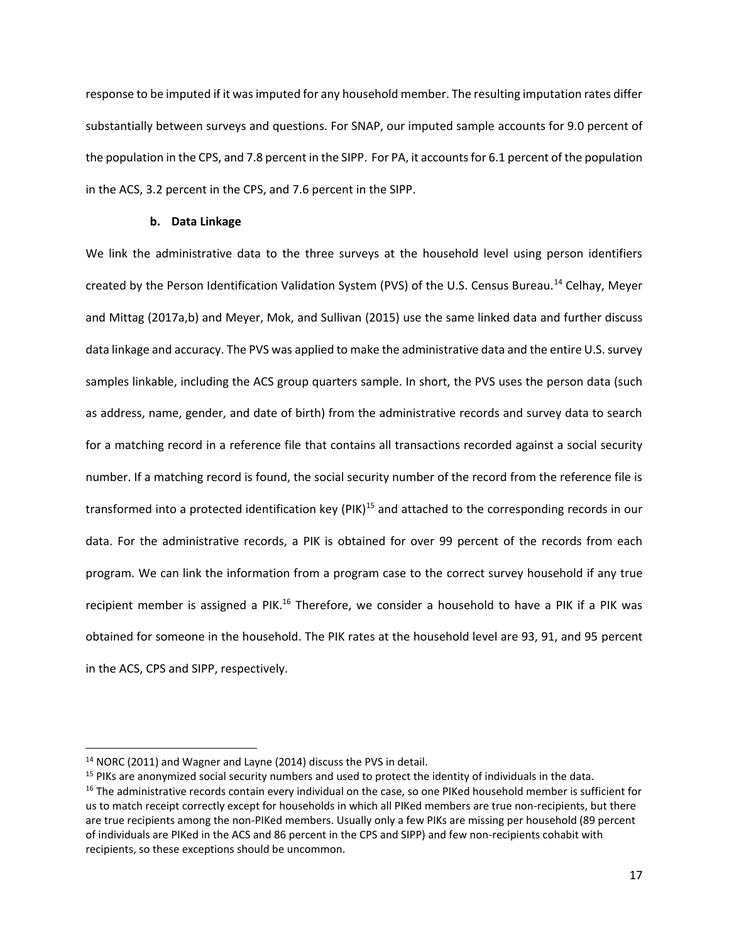response to be imputed if it was imputed for any household member. The resulting imputation rates differ substantially between surveys and questions. For SNAP, our imputed sample accounts for 9.0 percent of the population in the CPS, and 7.8 percent in the SIPP. For PA, it accounts for 6.1 percent of the population in the ACS, 3.2 percent in the CPS, and 7.6 percent in the SIPP.

# **b. Data Linkage**

We link the administrative data to the three surveys at the household level using person identifiers created by the Person Identification Validation System (PVS) of the U.S. Census Bureau.<sup>14</sup> Celhay, Meyer and Mittag (2017a,b) and Meyer, Mok, and Sullivan (2015) use the same linked data and further discuss data linkage and accuracy. The PVS was applied to make the administrative data and the entire U.S. survey samples linkable, including the ACS group quarters sample. In short, the PVS uses the person data (such as address, name, gender, and date of birth) from the administrative records and survey data to search for a matching record in a reference file that contains all transactions recorded against a social security number. If a matching record is found, the social security number of the record from the reference file is transformed into a protected identification key  $(PIK)^{15}$  and attached to the corresponding records in our data. For the administrative records, a PIK is obtained for over 99 percent of the records from each program. We can link the information from a program case to the correct survey household if any true recipient member is assigned a PIK.<sup>16</sup> Therefore, we consider a household to have a PIK if a PIK was obtained for someone in the household. The PIK rates at the household level are 93, 91, and 95 percent in the ACS, CPS and SIPP, respectively.

<sup>&</sup>lt;sup>14</sup> NORC (2011) and Wagner and Layne (2014) discuss the PVS in detail.

<sup>&</sup>lt;sup>15</sup> PIKs are anonymized social security numbers and used to protect the identity of individuals in the data.

<sup>&</sup>lt;sup>16</sup> The administrative records contain every individual on the case, so one PIKed household member is sufficient for us to match receipt correctly except for households in which all PIKed members are true non-recipients, but there are true recipients among the non-PIKed members. Usually only a few PIKs are missing per household (89 percent of individuals are PIKed in the ACS and 86 percent in the CPS and SIPP) and few non-recipients cohabit with recipients, so these exceptions should be uncommon.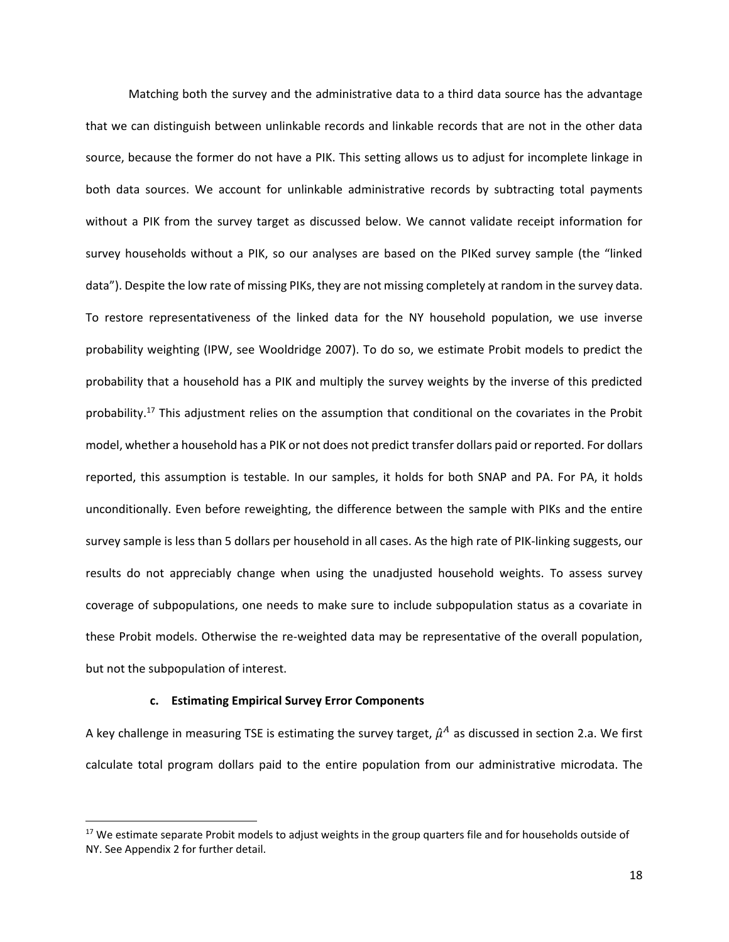Matching both the survey and the administrative data to a third data source has the advantage that we can distinguish between unlinkable records and linkable records that are not in the other data source, because the former do not have a PIK. This setting allows us to adjust for incomplete linkage in both data sources. We account for unlinkable administrative records by subtracting total payments without a PIK from the survey target as discussed below. We cannot validate receipt information for survey households without a PIK, so our analyses are based on the PIKed survey sample (the "linked data"). Despite the low rate of missing PIKs, they are not missing completely at random in the survey data. To restore representativeness of the linked data for the NY household population, we use inverse probability weighting (IPW, see Wooldridge 2007). To do so, we estimate Probit models to predict the probability that a household has a PIK and multiply the survey weights by the inverse of this predicted probability.<sup>17</sup> This adjustment relies on the assumption that conditional on the covariates in the Probit model, whether a household has a PIK or not does not predict transfer dollars paid or reported. For dollars reported, this assumption is testable. In our samples, it holds for both SNAP and PA. For PA, it holds unconditionally. Even before reweighting, the difference between the sample with PIKs and the entire survey sample is less than 5 dollars per household in all cases. As the high rate of PIK-linking suggests, our results do not appreciably change when using the unadjusted household weights. To assess survey coverage of subpopulations, one needs to make sure to include subpopulation status as a covariate in these Probit models. Otherwise the re-weighted data may be representative of the overall population, but not the subpopulation of interest.

## **c. Estimating Empirical Survey Error Components**

 $\overline{\phantom{a}}$ 

<span id="page-19-0"></span>A key challenge in measuring TSE is estimating the survey target,  $\hat{\mu}^A$  as discussed in section [2.a.](#page-7-0) We first calculate total program dollars paid to the entire population from our administrative microdata. The

<sup>&</sup>lt;sup>17</sup> We estimate separate Probit models to adjust weights in the group quarters file and for households outside of NY. See Appendix 2 for further detail.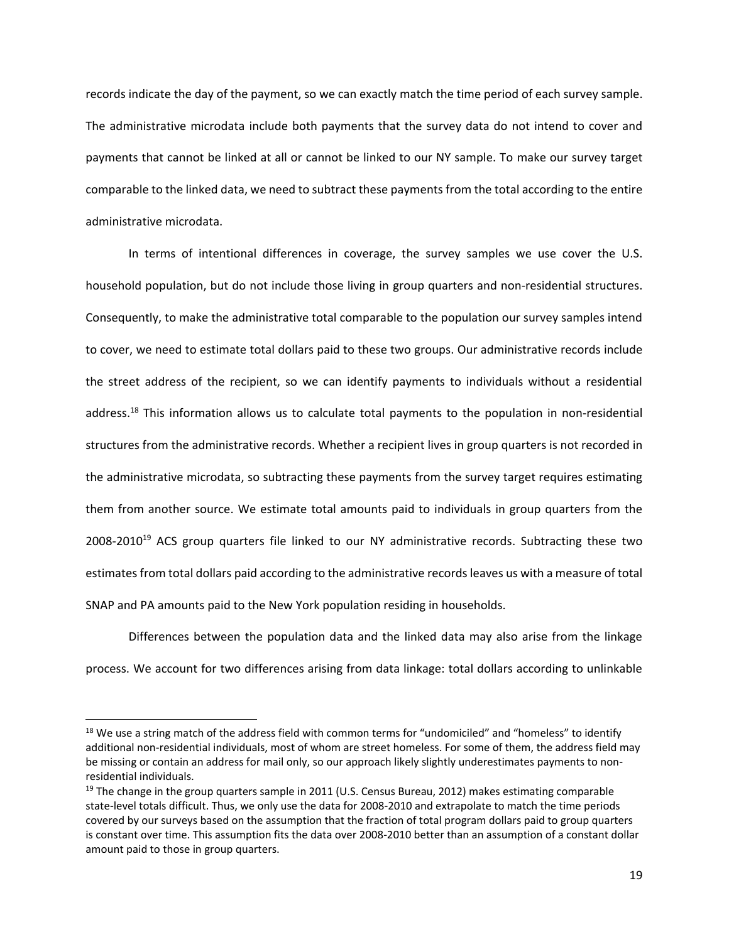records indicate the day of the payment, so we can exactly match the time period of each survey sample. The administrative microdata include both payments that the survey data do not intend to cover and payments that cannot be linked at all or cannot be linked to our NY sample. To make our survey target comparable to the linked data, we need to subtract these payments from the total according to the entire administrative microdata.

In terms of intentional differences in coverage, the survey samples we use cover the U.S. household population, but do not include those living in group quarters and non-residential structures. Consequently, to make the administrative total comparable to the population our survey samples intend to cover, we need to estimate total dollars paid to these two groups. Our administrative records include the street address of the recipient, so we can identify payments to individuals without a residential address.<sup>18</sup> This information allows us to calculate total payments to the population in non-residential structures from the administrative records. Whether a recipient lives in group quarters is not recorded in the administrative microdata, so subtracting these payments from the survey target requires estimating them from another source. We estimate total amounts paid to individuals in group quarters from the  $2008-2010^{19}$  ACS group quarters file linked to our NY administrative records. Subtracting these two estimates from total dollars paid according to the administrative recordsleaves us with a measure of total SNAP and PA amounts paid to the New York population residing in households.

Differences between the population data and the linked data may also arise from the linkage process. We account for two differences arising from data linkage: total dollars according to unlinkable

<sup>&</sup>lt;sup>18</sup> We use a string match of the address field with common terms for "undomiciled" and "homeless" to identify additional non-residential individuals, most of whom are street homeless. For some of them, the address field may be missing or contain an address for mail only, so our approach likely slightly underestimates payments to nonresidential individuals.

<sup>&</sup>lt;sup>19</sup> The change in the group quarters sample in 2011 (U.S. Census Bureau, 2012) makes estimating comparable state-level totals difficult. Thus, we only use the data for 2008-2010 and extrapolate to match the time periods covered by our surveys based on the assumption that the fraction of total program dollars paid to group quarters is constant over time. This assumption fits the data over 2008-2010 better than an assumption of a constant dollar amount paid to those in group quarters.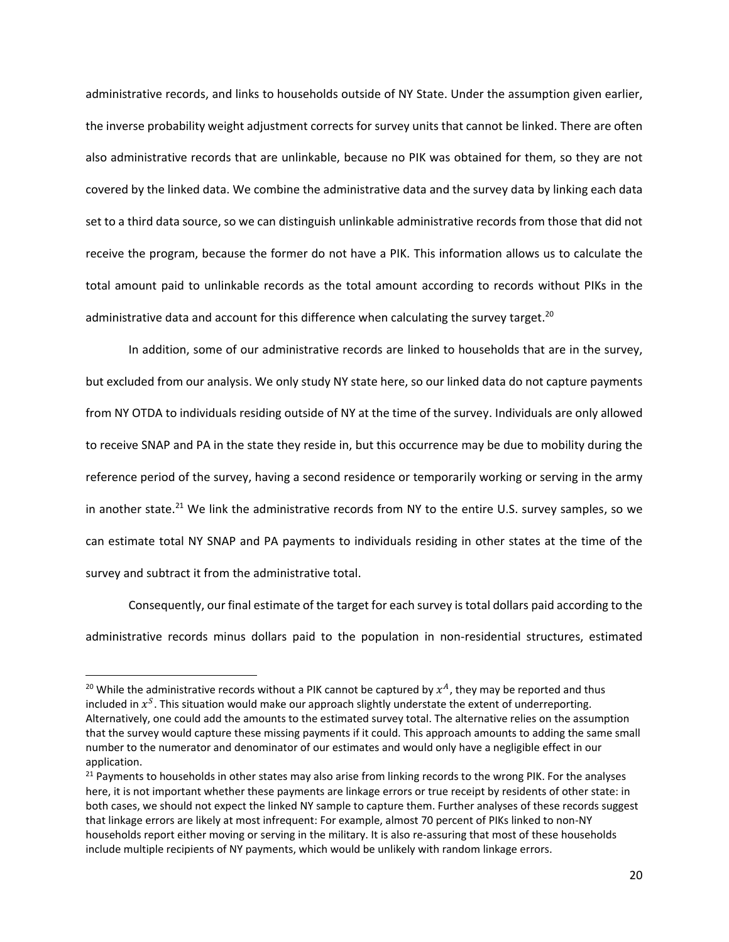administrative records, and links to households outside of NY State. Under the assumption given earlier, the inverse probability weight adjustment corrects for survey units that cannot be linked. There are often also administrative records that are unlinkable, because no PIK was obtained for them, so they are not covered by the linked data. We combine the administrative data and the survey data by linking each data set to a third data source, so we can distinguish unlinkable administrative records from those that did not receive the program, because the former do not have a PIK. This information allows us to calculate the total amount paid to unlinkable records as the total amount according to records without PIKs in the administrative data and account for this difference when calculating the survey target.<sup>20</sup>

In addition, some of our administrative records are linked to households that are in the survey, but excluded from our analysis. We only study NY state here, so our linked data do not capture payments from NY OTDA to individuals residing outside of NY at the time of the survey. Individuals are only allowed to receive SNAP and PA in the state they reside in, but this occurrence may be due to mobility during the reference period of the survey, having a second residence or temporarily working or serving in the army in another state.<sup>21</sup> We link the administrative records from NY to the entire U.S. survey samples, so we can estimate total NY SNAP and PA payments to individuals residing in other states at the time of the survey and subtract it from the administrative total.

Consequently, our final estimate of the target for each survey is total dollars paid according to the administrative records minus dollars paid to the population in non-residential structures, estimated

<sup>&</sup>lt;sup>20</sup> While the administrative records without a PIK cannot be captured by  $x^A$ , they may be reported and thus included in  $x^S$ . This situation would make our approach slightly understate the extent of underreporting. Alternatively, one could add the amounts to the estimated survey total. The alternative relies on the assumption that the survey would capture these missing payments if it could. This approach amounts to adding the same small number to the numerator and denominator of our estimates and would only have a negligible effect in our application.

<sup>&</sup>lt;sup>21</sup> Payments to households in other states may also arise from linking records to the wrong PIK. For the analyses here, it is not important whether these payments are linkage errors or true receipt by residents of other state: in both cases, we should not expect the linked NY sample to capture them. Further analyses of these records suggest that linkage errors are likely at most infrequent: For example, almost 70 percent of PIKs linked to non-NY households report either moving or serving in the military. It is also re-assuring that most of these households include multiple recipients of NY payments, which would be unlikely with random linkage errors.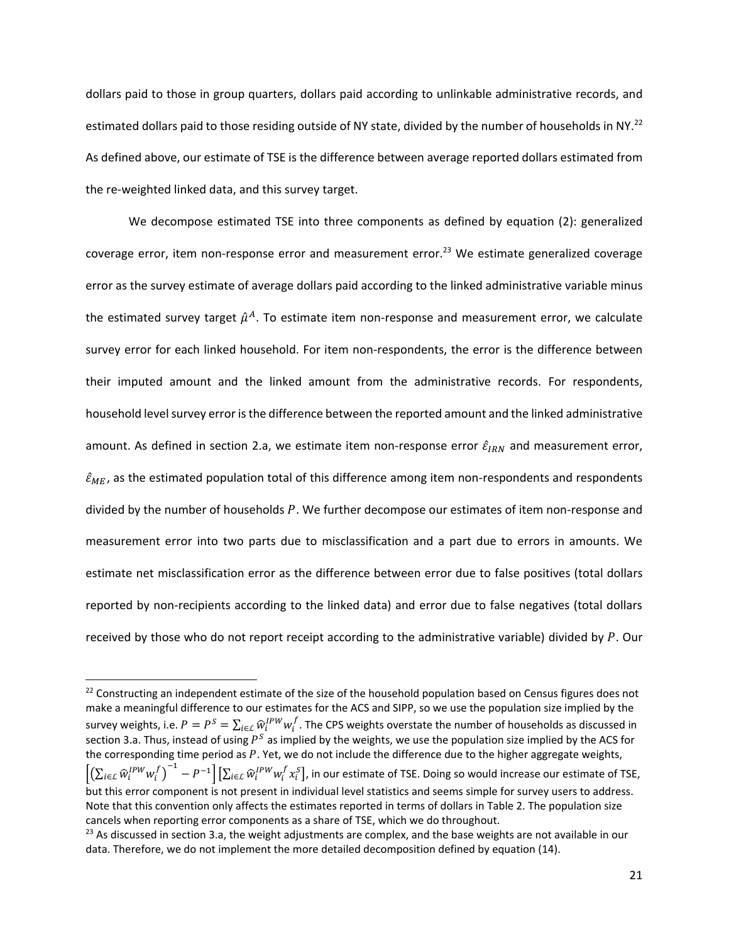<span id="page-22-0"></span>dollars paid to those in group quarters, dollars paid according to unlinkable administrative records, and estimated dollars paid to those residing outside of NY state, divided by the number of households in NY.<sup>22</sup> As defined above, our estimate of TSE is the difference between average reported dollars estimated from the re-weighted linked data, and this survey target.

We decompose estimated TSE into three components as defined by equation [\(2\)](#page-10-0): generalized coverage error, item non-response error and measurement error.<sup>23</sup> We estimate generalized coverage error as the survey estimate of average dollars paid according to the linked administrative variable minus the estimated survey target  $\hat{\mu}^{A}.$  To estimate item non-response and measurement error, we calculate survey error for each linked household. For item non-respondents, the error is the difference between their imputed amount and the linked amount from the administrative records. For respondents, household level survey error is the difference between the reported amount and the linked administrative amount. As defined in section [2.a,](#page-7-0) we estimate item non-response error  $\hat{\varepsilon}_{IRN}$  and measurement error,  $\hat{\epsilon}_{ME}$ , as the estimated population total of this difference among item non-respondents and respondents divided by the number of households  $P$ . We further decompose our estimates of item non-response and measurement error into two parts due to misclassification and a part due to errors in amounts. We estimate net misclassification error as the difference between error due to false positives (total dollars reported by non-recipients according to the linked data) and error due to false negatives (total dollars received by those who do not report receipt according to the administrative variable) divided by  $P$ . Our

<sup>&</sup>lt;sup>22</sup> Constructing an independent estimate of the size of the household population based on Census figures does not make a meaningful difference to our estimates for the ACS and SIPP, so we use the population size implied by the survey weights, i.e.  $P=P^S=\sum_{i\in\mathcal{L}}\widehat{w}_i^{IPW}w_i^f$  . The CPS weights overstate the number of households as discussed in sectio[n 3.a.](#page-15-0) Thus, instead of using  $P^S$  as implied by the weights, we use the population size implied by the ACS for the corresponding time period as  $P$ . Yet, we do not include the difference due to the higher aggregate weights,  $\left[\left(\sum_{i\in\mathcal{L}}\widehat{w}_i^{IPW}w_i^f\right)^{-1}-P^{-1}\right]\left[\sum_{i\in\mathcal{L}}\widehat{w}_i^{IPW}w_i^f x_i^S\right]$ , in our estimate of TSE. Doing so would increase our estimate of TSE, but this error component is not present in individual level statistics and seems simple for survey users to address. Note that this convention only affects the estimates reported in terms of dollars i[n Table 2.](#page-23-0) The population size cancels when reporting error components as a share of TSE, which we do throughout.

 $23$  As discussed in sectio[n 3.a,](#page-15-0) the weight adjustments are complex, and the base weights are not available in our data. Therefore, we do not implement the more detailed decomposition defined by equation [\(14\)](#page-12-0).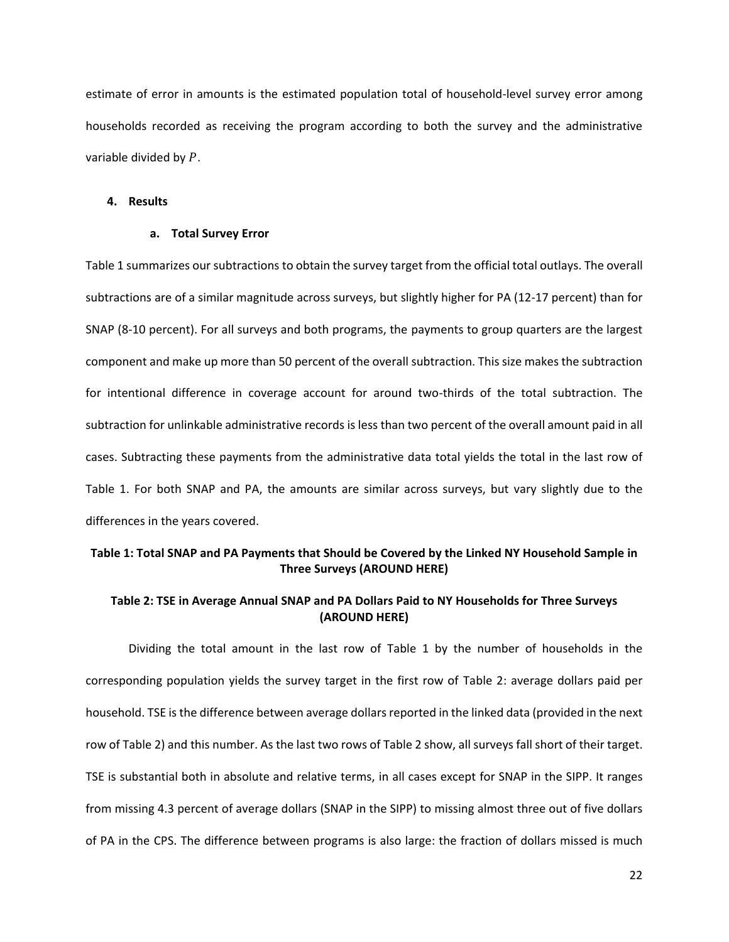estimate of error in amounts is the estimated population total of household-level survey error among households recorded as receiving the program according to both the survey and the administrative variable divided by  $P$ .

#### **4. Results**

## **a. Total Survey Error**

[Table 1](#page-23-1) summarizes our subtractions to obtain the survey target from the official total outlays. The overall subtractions are of a similar magnitude across surveys, but slightly higher for PA (12-17 percent) than for SNAP (8-10 percent). For all surveys and both programs, the payments to group quarters are the largest component and make up more than 50 percent of the overall subtraction. This size makes the subtraction for intentional difference in coverage account for around two-thirds of the total subtraction. The subtraction for unlinkable administrative records is less than two percent of the overall amount paid in all cases. Subtracting these payments from the administrative data total yields the total in the last row of [Table 1.](#page-23-1) For both SNAP and PA, the amounts are similar across surveys, but vary slightly due to the differences in the years covered.

# <span id="page-23-1"></span>**Table 1: Total SNAP and PA Payments that Should be Covered by the Linked NY Household Sample in Three Surveys (AROUND HERE)**

# <span id="page-23-0"></span>**Table 2: TSE in Average Annual SNAP and PA Dollars Paid to NY Households for Three Surveys (AROUND HERE)**

Dividing the total amount in the last row of [Table 1](#page-23-1) by the number of households in the corresponding population yields the survey target in the first row of [Table 2:](#page-23-0) average dollars paid per household. TSE isthe difference between average dollars reported in the linked data (provided in the next row of [Table 2\)](#page-23-0) and this number. As the last two rows of [Table 2](#page-23-0) show, all surveys fall short of their target. TSE is substantial both in absolute and relative terms, in all cases except for SNAP in the SIPP. It ranges from missing 4.3 percent of average dollars (SNAP in the SIPP) to missing almost three out of five dollars of PA in the CPS. The difference between programs is also large: the fraction of dollars missed is much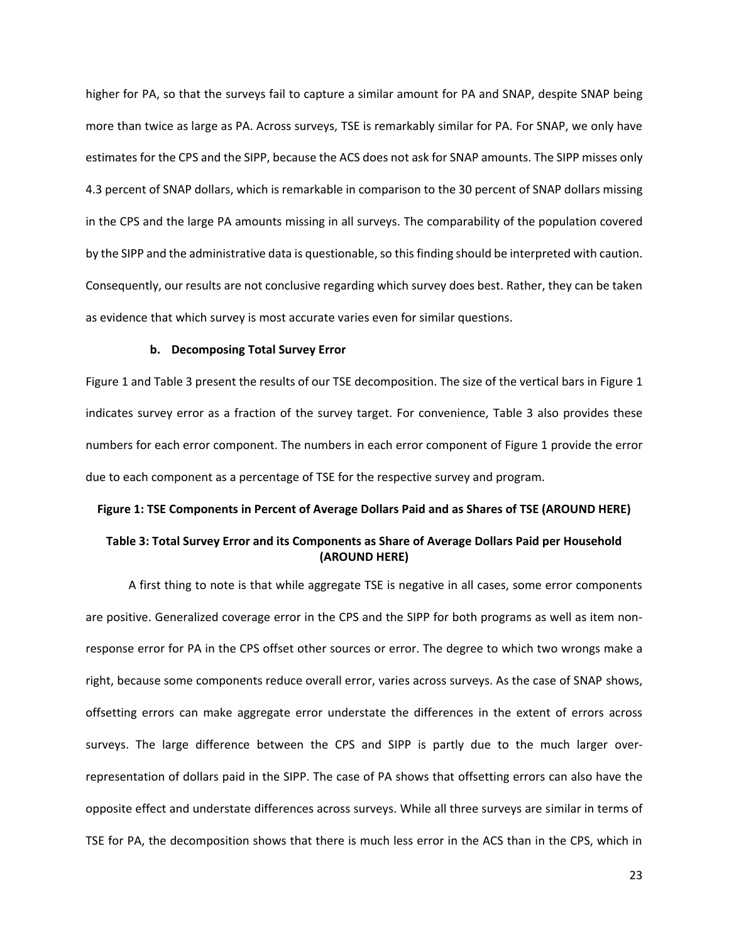higher for PA, so that the surveys fail to capture a similar amount for PA and SNAP, despite SNAP being more than twice as large as PA. Across surveys, TSE is remarkably similar for PA. For SNAP, we only have estimates for the CPS and the SIPP, because the ACS does not ask for SNAP amounts. The SIPP misses only 4.3 percent of SNAP dollars, which is remarkable in comparison to the 30 percent of SNAP dollars missing in the CPS and the large PA amounts missing in all surveys. The comparability of the population covered by the SIPP and the administrative data is questionable, so thisfinding should be interpreted with caution. Consequently, our results are not conclusive regarding which survey does best. Rather, they can be taken as evidence that which survey is most accurate varies even for similar questions.

## **b. Decomposing Total Survey Error**

[Figure 1](#page-24-0) and [Table 3](#page-24-1) present the results of our TSE decomposition. The size of the vertical bars in [Figure 1](#page-24-0) indicates survey error as a fraction of the survey target. For convenience, [Table 3](#page-24-1) also provides these numbers for each error component. The numbers in each error component of [Figure 1](#page-24-0) provide the error due to each component as a percentage of TSE for the respective survey and program.

# <span id="page-24-0"></span>**Figure 1: TSE Components in Percent of Average Dollars Paid and as Shares of TSE (AROUND HERE)**

# <span id="page-24-1"></span>**Table 3: Total Survey Error and its Components as Share of Average Dollars Paid per Household (AROUND HERE)**

A first thing to note is that while aggregate TSE is negative in all cases, some error components are positive. Generalized coverage error in the CPS and the SIPP for both programs as well as item nonresponse error for PA in the CPS offset other sources or error. The degree to which two wrongs make a right, because some components reduce overall error, varies across surveys. As the case of SNAP shows, offsetting errors can make aggregate error understate the differences in the extent of errors across surveys. The large difference between the CPS and SIPP is partly due to the much larger overrepresentation of dollars paid in the SIPP. The case of PA shows that offsetting errors can also have the opposite effect and understate differences across surveys. While all three surveys are similar in terms of TSE for PA, the decomposition shows that there is much less error in the ACS than in the CPS, which in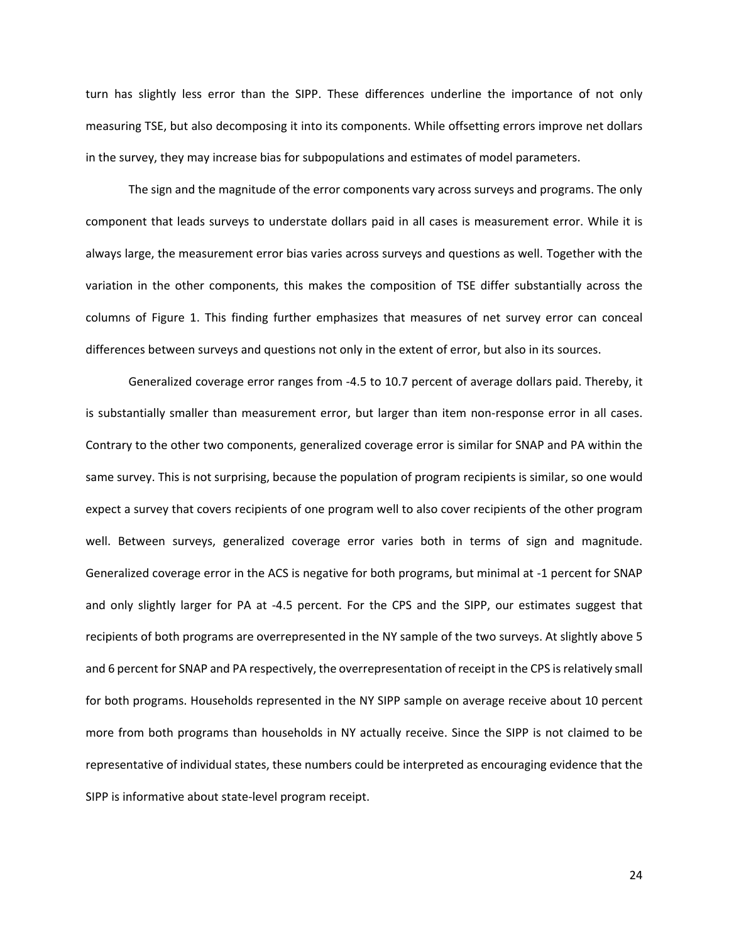turn has slightly less error than the SIPP. These differences underline the importance of not only measuring TSE, but also decomposing it into its components. While offsetting errors improve net dollars in the survey, they may increase bias for subpopulations and estimates of model parameters.

The sign and the magnitude of the error components vary across surveys and programs. The only component that leads surveys to understate dollars paid in all cases is measurement error. While it is always large, the measurement error bias varies across surveys and questions as well. Together with the variation in the other components, this makes the composition of TSE differ substantially across the columns of [Figure 1.](#page-24-0) This finding further emphasizes that measures of net survey error can conceal differences between surveys and questions not only in the extent of error, but also in its sources.

Generalized coverage error ranges from -4.5 to 10.7 percent of average dollars paid. Thereby, it is substantially smaller than measurement error, but larger than item non-response error in all cases. Contrary to the other two components, generalized coverage error is similar for SNAP and PA within the same survey. This is not surprising, because the population of program recipients is similar, so one would expect a survey that covers recipients of one program well to also cover recipients of the other program well. Between surveys, generalized coverage error varies both in terms of sign and magnitude. Generalized coverage error in the ACS is negative for both programs, but minimal at -1 percent for SNAP and only slightly larger for PA at -4.5 percent. For the CPS and the SIPP, our estimates suggest that recipients of both programs are overrepresented in the NY sample of the two surveys. At slightly above 5 and 6 percent for SNAP and PA respectively, the overrepresentation of receipt in the CPS is relatively small for both programs. Households represented in the NY SIPP sample on average receive about 10 percent more from both programs than households in NY actually receive. Since the SIPP is not claimed to be representative of individual states, these numbers could be interpreted as encouraging evidence that the SIPP is informative about state-level program receipt.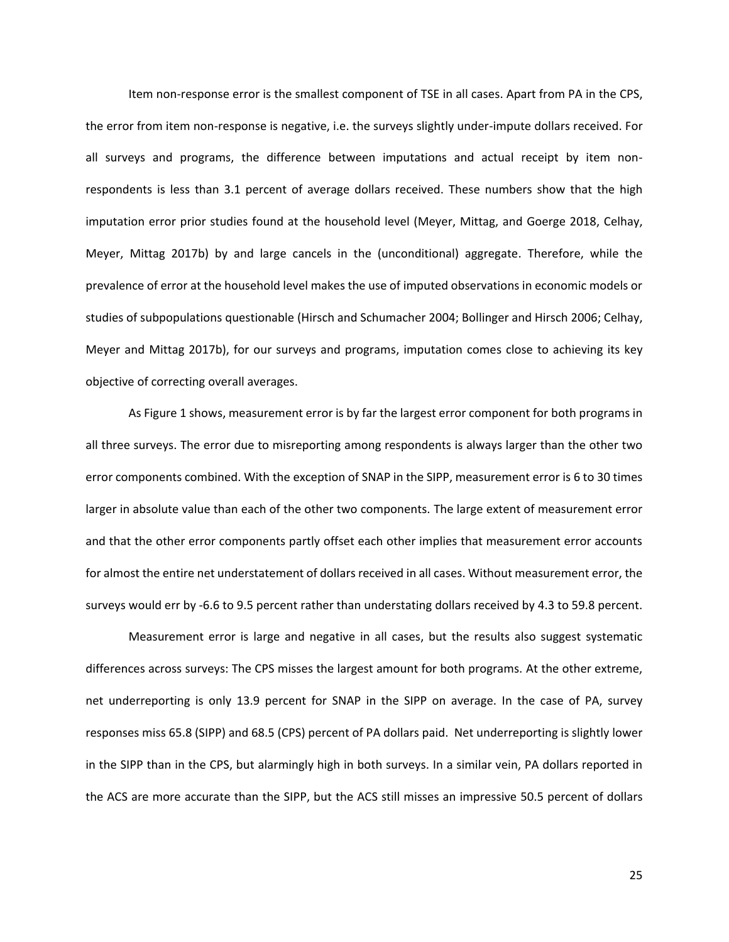Item non-response error is the smallest component of TSE in all cases. Apart from PA in the CPS, the error from item non-response is negative, i.e. the surveys slightly under-impute dollars received. For all surveys and programs, the difference between imputations and actual receipt by item nonrespondents is less than 3.1 percent of average dollars received. These numbers show that the high imputation error prior studies found at the household level (Meyer, Mittag, and Goerge 2018, Celhay, Meyer, Mittag 2017b) by and large cancels in the (unconditional) aggregate. Therefore, while the prevalence of error at the household level makes the use of imputed observations in economic models or studies of subpopulations questionable (Hirsch and Schumacher 2004; Bollinger and Hirsch 2006; Celhay, Meyer and Mittag 2017b), for our surveys and programs, imputation comes close to achieving its key objective of correcting overall averages.

As [Figure 1](#page-24-0) shows, measurement error is by far the largest error component for both programs in all three surveys. The error due to misreporting among respondents is always larger than the other two error components combined. With the exception of SNAP in the SIPP, measurement error is 6 to 30 times larger in absolute value than each of the other two components. The large extent of measurement error and that the other error components partly offset each other implies that measurement error accounts for almost the entire net understatement of dollars received in all cases. Without measurement error, the surveys would err by -6.6 to 9.5 percent rather than understating dollars received by 4.3 to 59.8 percent.

Measurement error is large and negative in all cases, but the results also suggest systematic differences across surveys: The CPS misses the largest amount for both programs. At the other extreme, net underreporting is only 13.9 percent for SNAP in the SIPP on average. In the case of PA, survey responses miss 65.8 (SIPP) and 68.5 (CPS) percent of PA dollars paid. Net underreporting is slightly lower in the SIPP than in the CPS, but alarmingly high in both surveys. In a similar vein, PA dollars reported in the ACS are more accurate than the SIPP, but the ACS still misses an impressive 50.5 percent of dollars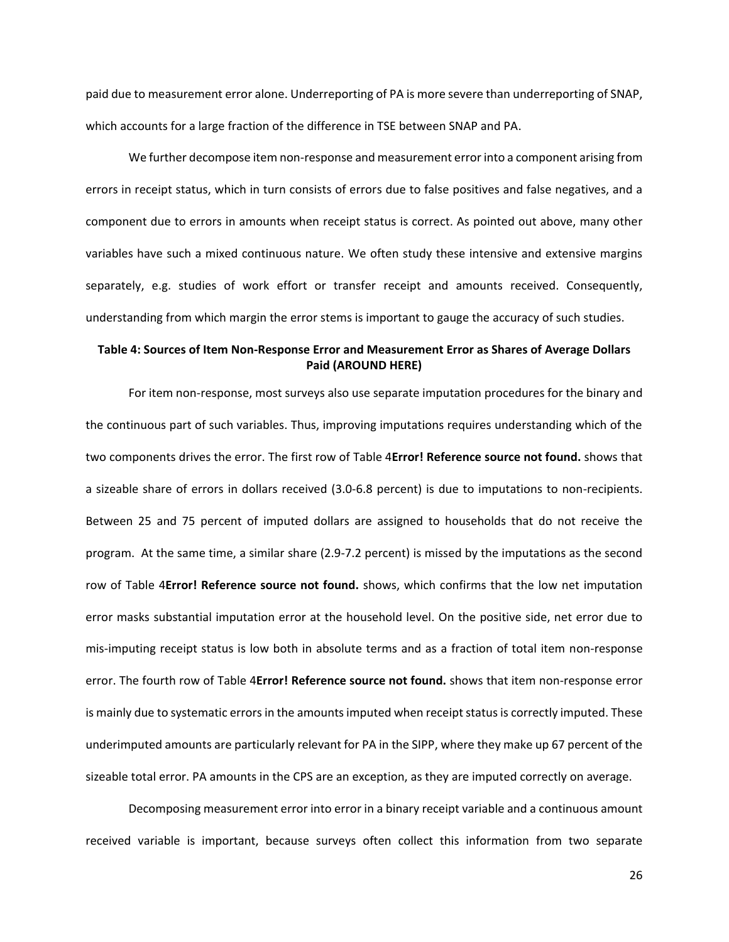paid due to measurement error alone. Underreporting of PA is more severe than underreporting of SNAP, which accounts for a large fraction of the difference in TSE between SNAP and PA.

We further decompose item non-response and measurement error into a component arising from errors in receipt status, which in turn consists of errors due to false positives and false negatives, and a component due to errors in amounts when receipt status is correct. As pointed out above, many other variables have such a mixed continuous nature. We often study these intensive and extensive margins separately, e.g. studies of work effort or transfer receipt and amounts received. Consequently, understanding from which margin the error stems is important to gauge the accuracy of such studies.

# <span id="page-27-0"></span>**Table 4: Sources of Item Non-Response Error and Measurement Error as Shares of Average Dollars Paid (AROUND HERE)**

For item non-response, most surveys also use separate imputation procedures for the binary and the continuous part of such variables. Thus, improving imputations requires understanding which of the two components drives the error. The first row o[f Table 4](#page-27-0)**Error! Reference source not found.** shows that a sizeable share of errors in dollars received (3.0-6.8 percent) is due to imputations to non-recipients. Between 25 and 75 percent of imputed dollars are assigned to households that do not receive the program. At the same time, a similar share (2.9-7.2 percent) is missed by the imputations as the second row of [Table 4](#page-27-0)**Error! Reference source not found.** shows, which confirms that the low net imputation error masks substantial imputation error at the household level. On the positive side, net error due to mis-imputing receipt status is low both in absolute terms and as a fraction of total item non-response error. The fourth row of [Table 4](#page-27-0)**Error! Reference source not found.** shows that item non-response error is mainly due to systematic errors in the amounts imputed when receipt status is correctly imputed. These underimputed amounts are particularly relevant for PA in the SIPP, where they make up 67 percent of the sizeable total error. PA amounts in the CPS are an exception, as they are imputed correctly on average.

Decomposing measurement error into error in a binary receipt variable and a continuous amount received variable is important, because surveys often collect this information from two separate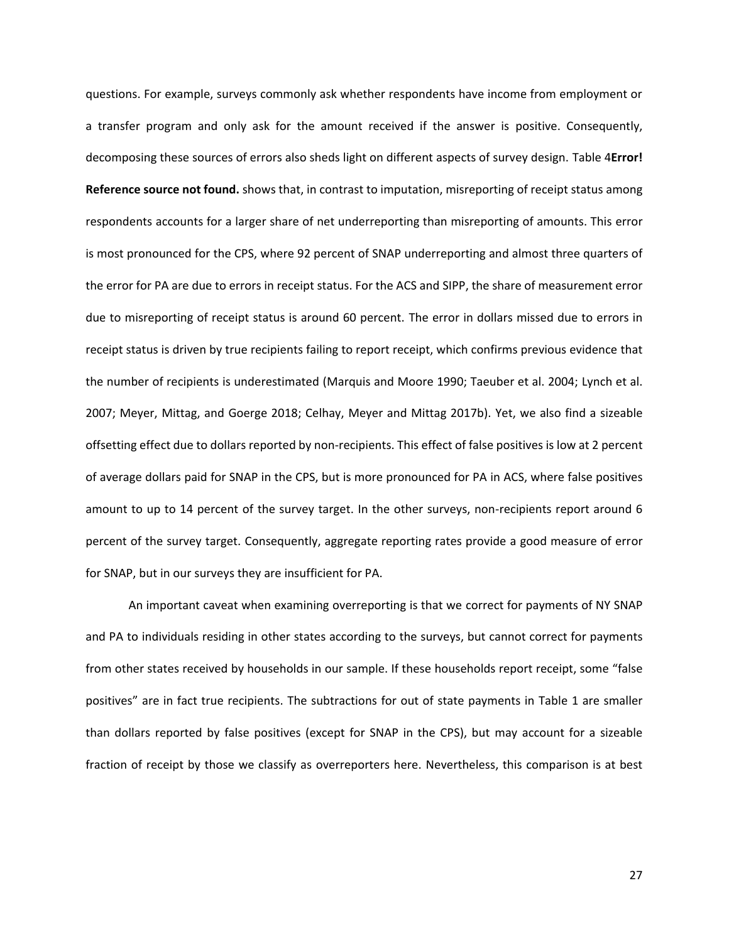questions. For example, surveys commonly ask whether respondents have income from employment or a transfer program and only ask for the amount received if the answer is positive. Consequently, decomposing these sources of errors also sheds light on different aspects of survey design. [Table 4](#page-27-0)**Error! Reference source not found.** shows that, in contrast to imputation, misreporting of receipt status among respondents accounts for a larger share of net underreporting than misreporting of amounts. This error is most pronounced for the CPS, where 92 percent of SNAP underreporting and almost three quarters of the error for PA are due to errors in receipt status. For the ACS and SIPP, the share of measurement error due to misreporting of receipt status is around 60 percent. The error in dollars missed due to errors in receipt status is driven by true recipients failing to report receipt, which confirms previous evidence that the number of recipients is underestimated (Marquis and Moore 1990; Taeuber et al. 2004; Lynch et al. 2007; Meyer, Mittag, and Goerge 2018; Celhay, Meyer and Mittag 2017b). Yet, we also find a sizeable offsetting effect due to dollars reported by non-recipients. This effect of false positives is low at 2 percent of average dollars paid for SNAP in the CPS, but is more pronounced for PA in ACS, where false positives amount to up to 14 percent of the survey target. In the other surveys, non-recipients report around 6 percent of the survey target. Consequently, aggregate reporting rates provide a good measure of error for SNAP, but in our surveys they are insufficient for PA.

An important caveat when examining overreporting is that we correct for payments of NY SNAP and PA to individuals residing in other states according to the surveys, but cannot correct for payments from other states received by households in our sample. If these households report receipt, some "false positives" are in fact true recipients. The subtractions for out of state payments in [Table 1](#page-23-1) are smaller than dollars reported by false positives (except for SNAP in the CPS), but may account for a sizeable fraction of receipt by those we classify as overreporters here. Nevertheless, this comparison is at best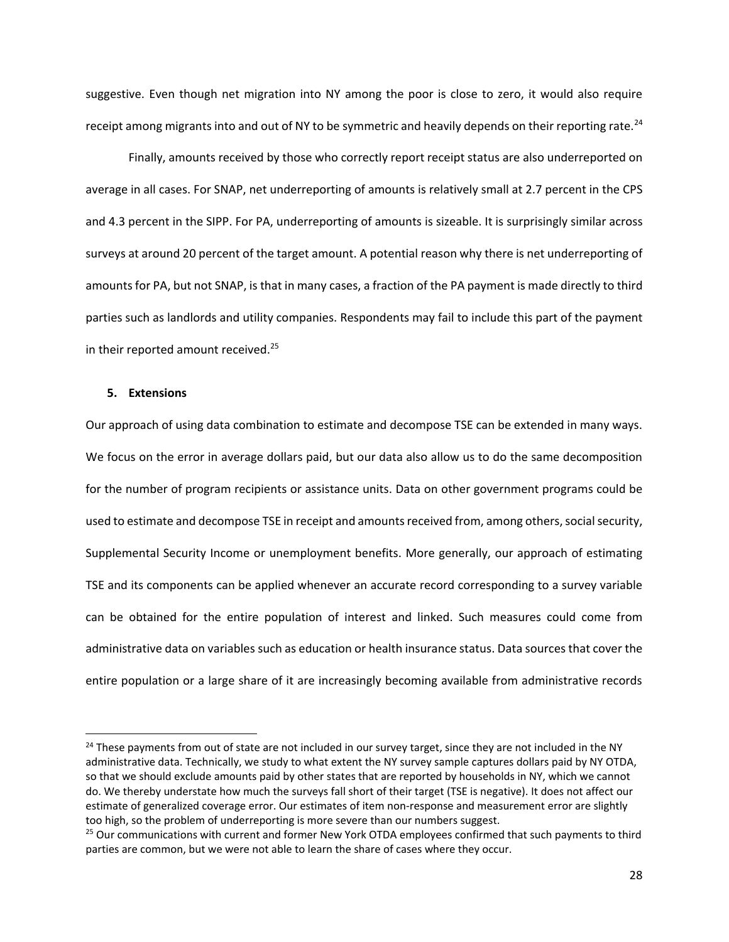suggestive. Even though net migration into NY among the poor is close to zero, it would also require receipt among migrants into and out of NY to be symmetric and heavily depends on their reporting rate.<sup>24</sup>

Finally, amounts received by those who correctly report receipt status are also underreported on average in all cases. For SNAP, net underreporting of amounts is relatively small at 2.7 percent in the CPS and 4.3 percent in the SIPP. For PA, underreporting of amounts is sizeable. It is surprisingly similar across surveys at around 20 percent of the target amount. A potential reason why there is net underreporting of amounts for PA, but not SNAP, is that in many cases, a fraction of the PA payment is made directly to third parties such as landlords and utility companies. Respondents may fail to include this part of the payment in their reported amount received.<sup>25</sup>

## <span id="page-29-0"></span>**5. Extensions**

 $\overline{a}$ 

Our approach of using data combination to estimate and decompose TSE can be extended in many ways. We focus on the error in average dollars paid, but our data also allow us to do the same decomposition for the number of program recipients or assistance units. Data on other government programs could be used to estimate and decompose TSE in receipt and amounts received from, among others, social security, Supplemental Security Income or unemployment benefits. More generally, our approach of estimating TSE and its components can be applied whenever an accurate record corresponding to a survey variable can be obtained for the entire population of interest and linked. Such measures could come from administrative data on variables such as education or health insurance status. Data sources that cover the entire population or a large share of it are increasingly becoming available from administrative records

<sup>&</sup>lt;sup>24</sup> These payments from out of state are not included in our survey target, since they are not included in the NY administrative data. Technically, we study to what extent the NY survey sample captures dollars paid by NY OTDA, so that we should exclude amounts paid by other states that are reported by households in NY, which we cannot do. We thereby understate how much the surveys fall short of their target (TSE is negative). It does not affect our estimate of generalized coverage error. Our estimates of item non-response and measurement error are slightly too high, so the problem of underreporting is more severe than our numbers suggest.

<sup>&</sup>lt;sup>25</sup> Our communications with current and former New York OTDA employees confirmed that such payments to third parties are common, but we were not able to learn the share of cases where they occur.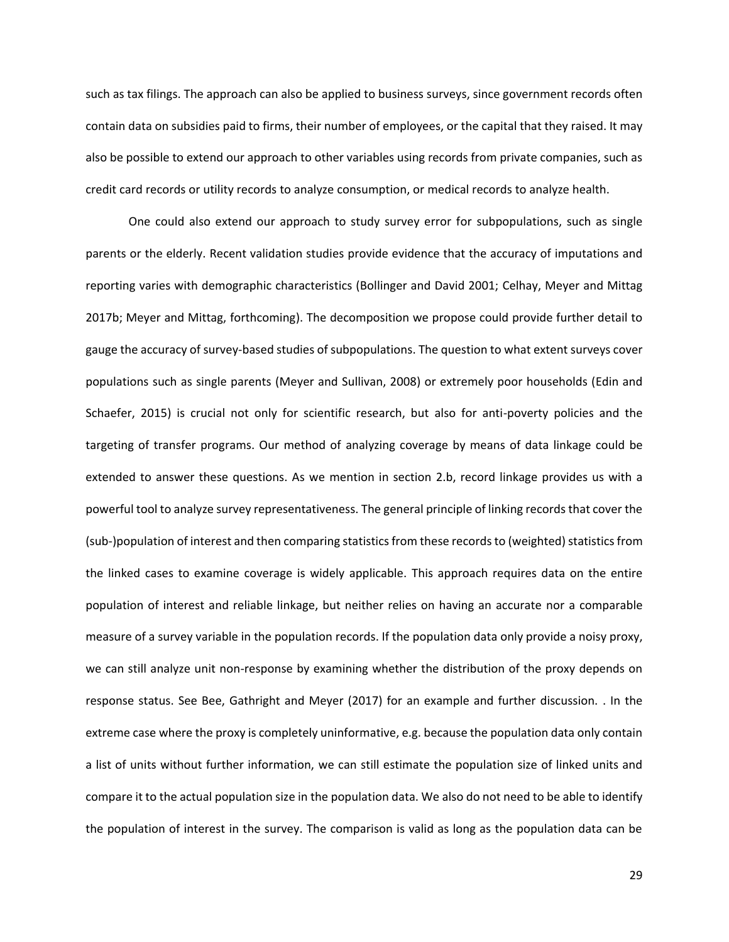such as tax filings. The approach can also be applied to business surveys, since government records often contain data on subsidies paid to firms, their number of employees, or the capital that they raised. It may also be possible to extend our approach to other variables using records from private companies, such as credit card records or utility records to analyze consumption, or medical records to analyze health.

One could also extend our approach to study survey error for subpopulations, such as single parents or the elderly. Recent validation studies provide evidence that the accuracy of imputations and reporting varies with demographic characteristics (Bollinger and David 2001; Celhay, Meyer and Mittag 2017b; Meyer and Mittag, forthcoming). The decomposition we propose could provide further detail to gauge the accuracy of survey-based studies of subpopulations. The question to what extent surveys cover populations such as single parents (Meyer and Sullivan, 2008) or extremely poor households (Edin and Schaefer, 2015) is crucial not only for scientific research, but also for anti-poverty policies and the targeting of transfer programs. Our method of analyzing coverage by means of data linkage could be extended to answer these questions. As we mention in section [2.b,](#page-10-2) record linkage provides us with a powerful tool to analyze survey representativeness. The general principle of linking records that cover the (sub-)population of interest and then comparing statistics from these recordsto (weighted) statistics from the linked cases to examine coverage is widely applicable. This approach requires data on the entire population of interest and reliable linkage, but neither relies on having an accurate nor a comparable measure of a survey variable in the population records. If the population data only provide a noisy proxy, we can still analyze unit non-response by examining whether the distribution of the proxy depends on response status. See Bee, Gathright and Meyer (2017) for an example and further discussion. . In the extreme case where the proxy is completely uninformative, e.g. because the population data only contain a list of units without further information, we can still estimate the population size of linked units and compare it to the actual population size in the population data. We also do not need to be able to identify the population of interest in the survey. The comparison is valid as long as the population data can be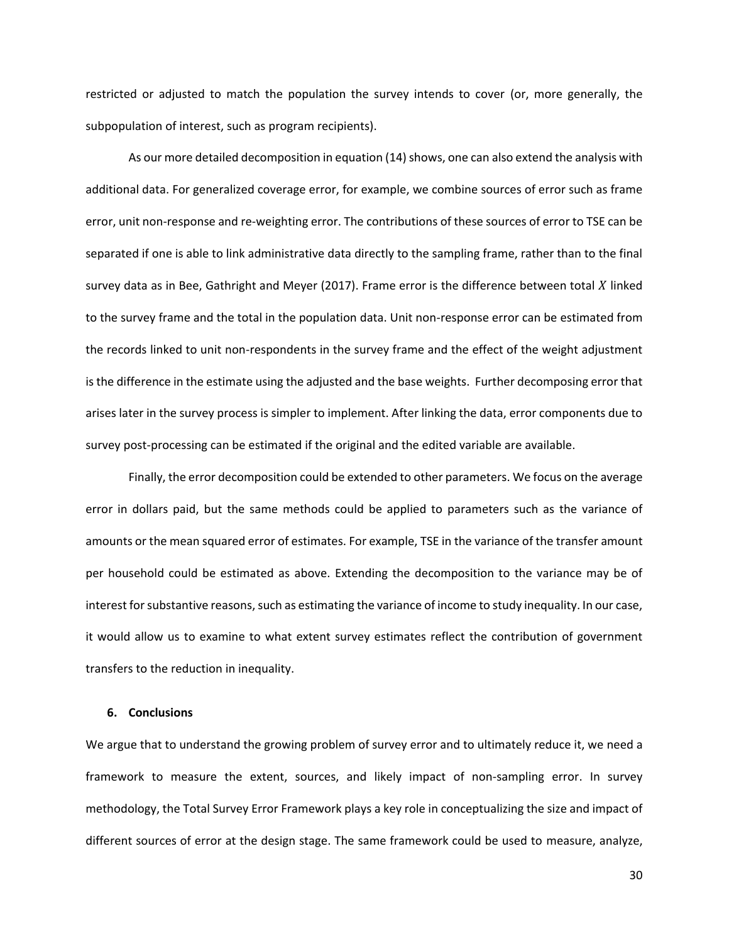restricted or adjusted to match the population the survey intends to cover (or, more generally, the subpopulation of interest, such as program recipients).

As our more detailed decomposition in equation [\(14\)](#page-12-0) shows, one can also extend the analysis with additional data. For generalized coverage error, for example, we combine sources of error such as frame error, unit non-response and re-weighting error. The contributions of these sources of error to TSE can be separated if one is able to link administrative data directly to the sampling frame, rather than to the final survey data as in Bee, Gathright and Meyer (2017). Frame error is the difference between total  $X$  linked to the survey frame and the total in the population data. Unit non-response error can be estimated from the records linked to unit non-respondents in the survey frame and the effect of the weight adjustment is the difference in the estimate using the adjusted and the base weights. Further decomposing error that arises later in the survey process is simpler to implement. After linking the data, error components due to survey post-processing can be estimated if the original and the edited variable are available.

Finally, the error decomposition could be extended to other parameters. We focus on the average error in dollars paid, but the same methods could be applied to parameters such as the variance of amounts or the mean squared error of estimates. For example, TSE in the variance of the transfer amount per household could be estimated as above. Extending the decomposition to the variance may be of interest for substantive reasons, such as estimating the variance of income to study inequality. In our case, it would allow us to examine to what extent survey estimates reflect the contribution of government transfers to the reduction in inequality.

## <span id="page-31-0"></span>**6. Conclusions**

We argue that to understand the growing problem of survey error and to ultimately reduce it, we need a framework to measure the extent, sources, and likely impact of non-sampling error. In survey methodology, the Total Survey Error Framework plays a key role in conceptualizing the size and impact of different sources of error at the design stage. The same framework could be used to measure, analyze,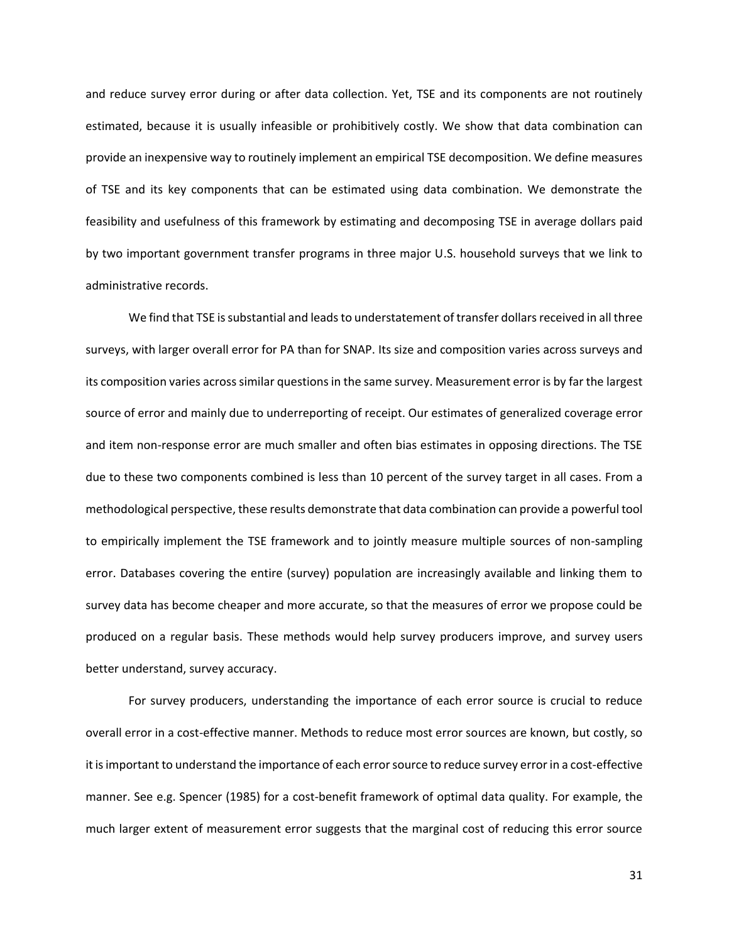and reduce survey error during or after data collection. Yet, TSE and its components are not routinely estimated, because it is usually infeasible or prohibitively costly. We show that data combination can provide an inexpensive way to routinely implement an empirical TSE decomposition. We define measures of TSE and its key components that can be estimated using data combination. We demonstrate the feasibility and usefulness of this framework by estimating and decomposing TSE in average dollars paid by two important government transfer programs in three major U.S. household surveys that we link to administrative records.

We find that TSE is substantial and leads to understatement of transfer dollars received in all three surveys, with larger overall error for PA than for SNAP. Its size and composition varies across surveys and its composition varies across similar questions in the same survey. Measurement error is by far the largest source of error and mainly due to underreporting of receipt. Our estimates of generalized coverage error and item non-response error are much smaller and often bias estimates in opposing directions. The TSE due to these two components combined is less than 10 percent of the survey target in all cases. From a methodological perspective, these results demonstrate that data combination can provide a powerful tool to empirically implement the TSE framework and to jointly measure multiple sources of non-sampling error. Databases covering the entire (survey) population are increasingly available and linking them to survey data has become cheaper and more accurate, so that the measures of error we propose could be produced on a regular basis. These methods would help survey producers improve, and survey users better understand, survey accuracy.

For survey producers, understanding the importance of each error source is crucial to reduce overall error in a cost-effective manner. Methods to reduce most error sources are known, but costly, so it is important to understand the importance of each error source to reduce survey error in a cost-effective manner. See e.g. Spencer (1985) for a cost-benefit framework of optimal data quality. For example, the much larger extent of measurement error suggests that the marginal cost of reducing this error source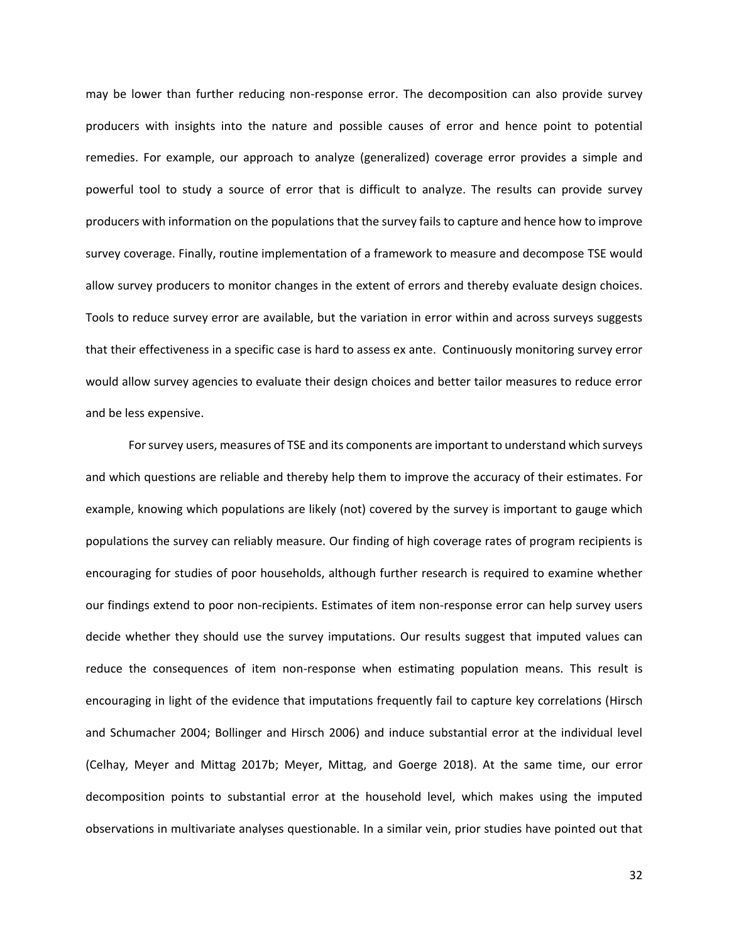may be lower than further reducing non-response error. The decomposition can also provide survey producers with insights into the nature and possible causes of error and hence point to potential remedies. For example, our approach to analyze (generalized) coverage error provides a simple and powerful tool to study a source of error that is difficult to analyze. The results can provide survey producers with information on the populations that the survey fails to capture and hence how to improve survey coverage. Finally, routine implementation of a framework to measure and decompose TSE would allow survey producers to monitor changes in the extent of errors and thereby evaluate design choices. Tools to reduce survey error are available, but the variation in error within and across surveys suggests that their effectiveness in a specific case is hard to assess ex ante. Continuously monitoring survey error would allow survey agencies to evaluate their design choices and better tailor measures to reduce error and be less expensive.

For survey users, measures of TSE and its components are important to understand which surveys and which questions are reliable and thereby help them to improve the accuracy of their estimates. For example, knowing which populations are likely (not) covered by the survey is important to gauge which populations the survey can reliably measure. Our finding of high coverage rates of program recipients is encouraging for studies of poor households, although further research is required to examine whether our findings extend to poor non-recipients. Estimates of item non-response error can help survey users decide whether they should use the survey imputations. Our results suggest that imputed values can reduce the consequences of item non-response when estimating population means. This result is encouraging in light of the evidence that imputations frequently fail to capture key correlations (Hirsch and Schumacher 2004; Bollinger and Hirsch 2006) and induce substantial error at the individual level (Celhay, Meyer and Mittag 2017b; Meyer, Mittag, and Goerge 2018). At the same time, our error decomposition points to substantial error at the household level, which makes using the imputed observations in multivariate analyses questionable. In a similar vein, prior studies have pointed out that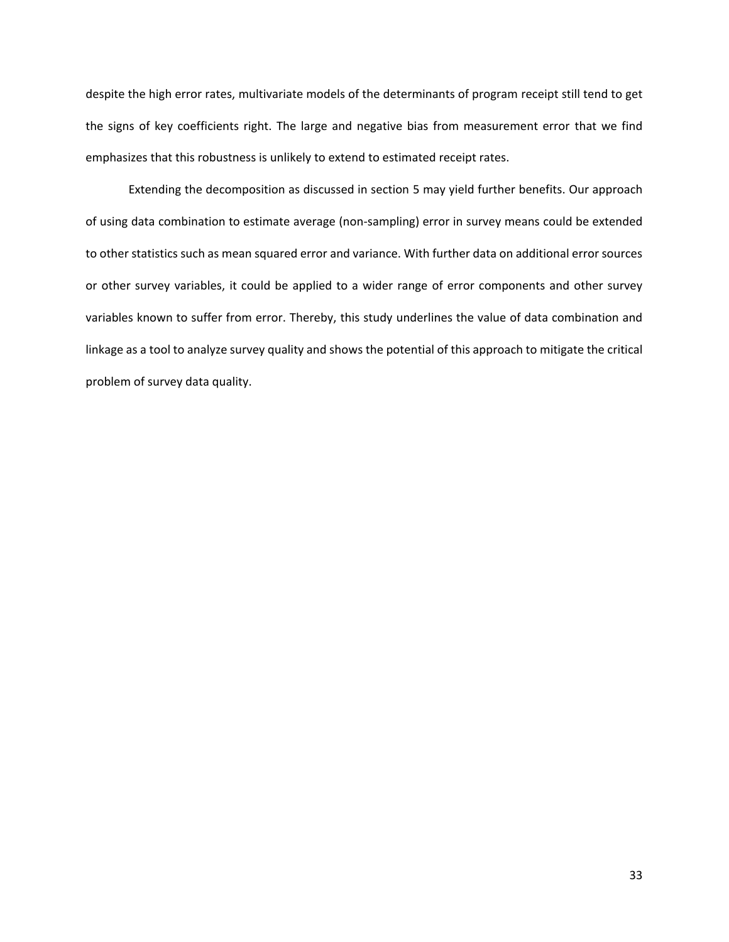despite the high error rates, multivariate models of the determinants of program receipt still tend to get the signs of key coefficients right. The large and negative bias from measurement error that we find emphasizes that this robustness is unlikely to extend to estimated receipt rates.

Extending the decomposition as discussed in section [5](#page-29-0) may yield further benefits. Our approach of using data combination to estimate average (non-sampling) error in survey means could be extended to other statistics such as mean squared error and variance. With further data on additional error sources or other survey variables, it could be applied to a wider range of error components and other survey variables known to suffer from error. Thereby, this study underlines the value of data combination and linkage as a tool to analyze survey quality and shows the potential of this approach to mitigate the critical problem of survey data quality.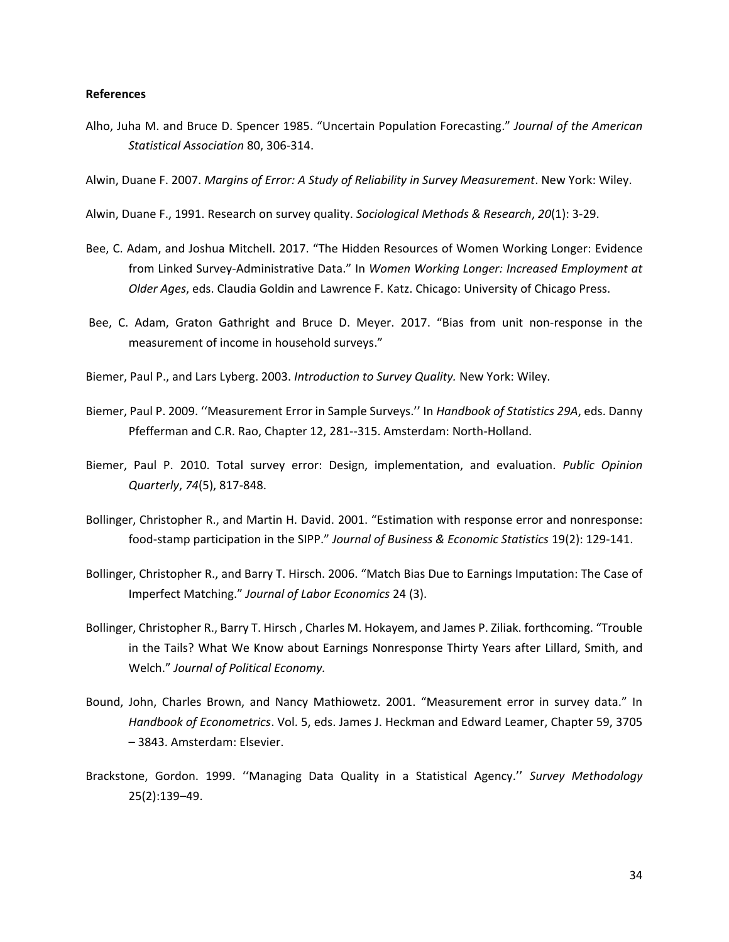## **References**

Alho, Juha M. and Bruce D. Spencer 1985. "Uncertain Population Forecasting." *Journal of the American Statistical Association* 80, 306-314.

Alwin, Duane F. 2007. *Margins of Error: A Study of Reliability in Survey Measurement*. New York: Wiley.

Alwin, Duane F., 1991. Research on survey quality. *Sociological Methods & Research*, *20*(1): 3-29.

- Bee, C. Adam, and Joshua Mitchell. 2017. "The Hidden Resources of Women Working Longer: Evidence from Linked Survey-Administrative Data." In *Women Working Longer: Increased Employment at Older Ages*, eds. Claudia Goldin and Lawrence F. Katz. Chicago: University of Chicago Press.
- Bee, C. Adam, Graton Gathright and Bruce D. Meyer. 2017. "Bias from unit non-response in the measurement of income in household surveys."
- Biemer, Paul P., and Lars Lyberg. 2003. *Introduction to Survey Quality.* New York: Wiley.
- Biemer, Paul P. 2009. ''Measurement Error in Sample Surveys.'' In *Handbook of Statistics 29A*, eds. Danny Pfefferman and C.R. Rao, Chapter 12, 281--315. Amsterdam: North-Holland.
- Biemer, Paul P. 2010. Total survey error: Design, implementation, and evaluation. *Public Opinion Quarterly*, *74*(5), 817-848.
- Bollinger, Christopher R., and Martin H. David. 2001. "Estimation with response error and nonresponse: food-stamp participation in the SIPP." *Journal of Business & Economic Statistics* 19(2): 129-141.
- Bollinger, Christopher R., and Barry T. Hirsch. 2006. "Match Bias Due to Earnings Imputation: The Case of Imperfect Matching." *Journal of Labor Economics* 24 (3).
- Bollinger, Christopher R., Barry T. Hirsch , Charles M. Hokayem, and James P. Ziliak. forthcoming. "Trouble in the Tails? What We Know about Earnings Nonresponse Thirty Years after Lillard, Smith, and Welch." *Journal of Political Economy.*
- Bound, John, Charles Brown, and Nancy Mathiowetz. 2001. "Measurement error in survey data." In *Handbook of Econometrics*. Vol. 5, eds. James J. Heckman and Edward Leamer, Chapter 59, 3705 – 3843. Amsterdam: Elsevier.
- Brackstone, Gordon. 1999. ''Managing Data Quality in a Statistical Agency.'' *Survey Methodology* 25(2):139–49.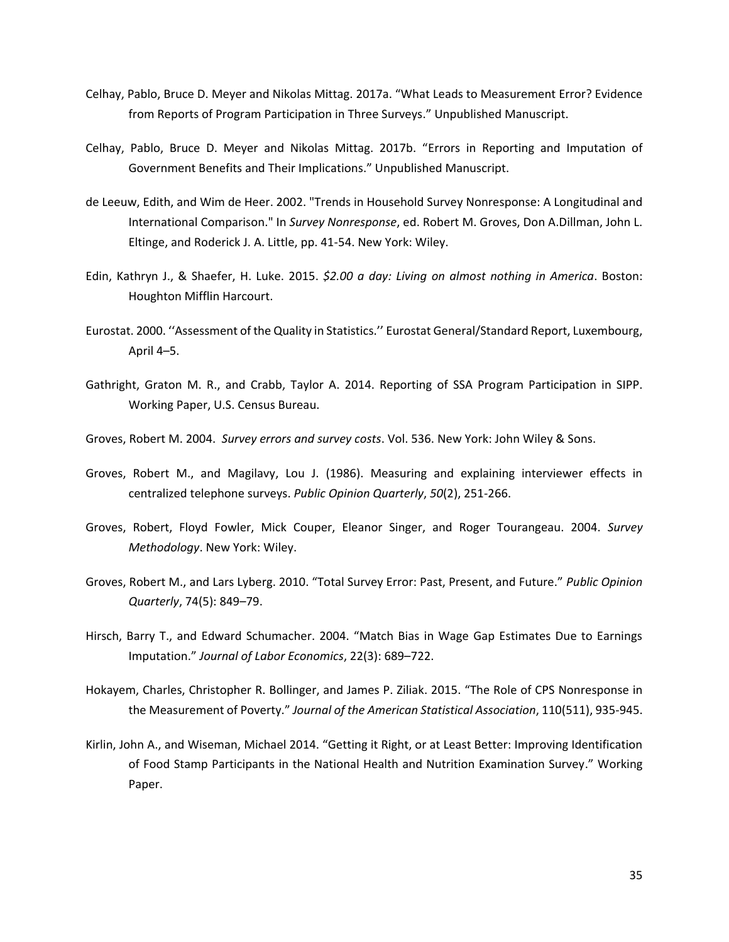- Celhay, Pablo, Bruce D. Meyer and Nikolas Mittag. 2017a. "What Leads to Measurement Error? Evidence from Reports of Program Participation in Three Surveys." Unpublished Manuscript.
- Celhay, Pablo, Bruce D. Meyer and Nikolas Mittag. 2017b. "Errors in Reporting and Imputation of Government Benefits and Their Implications." Unpublished Manuscript.
- de Leeuw, Edith, and Wim de Heer. 2002. "Trends in Household Survey Nonresponse: A Longitudinal and International Comparison." In *Survey Nonresponse*, ed. Robert M. Groves, Don A.Dillman, John L. Eltinge, and Roderick J. A. Little, pp. 41-54. New York: Wiley.
- Edin, Kathryn J., & Shaefer, H. Luke. 2015. *\$2.00 a day: Living on almost nothing in America*. Boston: Houghton Mifflin Harcourt.
- Eurostat. 2000. ''Assessment of the Quality in Statistics.'' Eurostat General/Standard Report, Luxembourg, April 4–5.
- Gathright, Graton M. R., and Crabb, Taylor A. 2014. Reporting of SSA Program Participation in SIPP. Working Paper, U.S. Census Bureau.
- Groves, Robert M. 2004. *Survey errors and survey costs*. Vol. 536. New York: John Wiley & Sons.
- Groves, Robert M., and Magilavy, Lou J. (1986). Measuring and explaining interviewer effects in centralized telephone surveys. *Public Opinion Quarterly*, *50*(2), 251-266.
- Groves, Robert, Floyd Fowler, Mick Couper, Eleanor Singer, and Roger Tourangeau. 2004. *Survey Methodology*. New York: Wiley.
- Groves, Robert M., and Lars Lyberg. 2010. "Total Survey Error: Past, Present, and Future." *Public Opinion Quarterly*, 74(5): 849–79.
- Hirsch, Barry T., and Edward Schumacher. 2004. "Match Bias in Wage Gap Estimates Due to Earnings Imputation." *Journal of Labor Economics*, 22(3): 689–722.
- Hokayem, Charles, Christopher R. Bollinger, and James P. Ziliak. 2015. "The Role of CPS Nonresponse in the Measurement of Poverty." *Journal of the American Statistical Association*, 110(511), 935-945.
- Kirlin, John A., and Wiseman, Michael 2014. "Getting it Right, or at Least Better: Improving Identification of Food Stamp Participants in the National Health and Nutrition Examination Survey." Working Paper.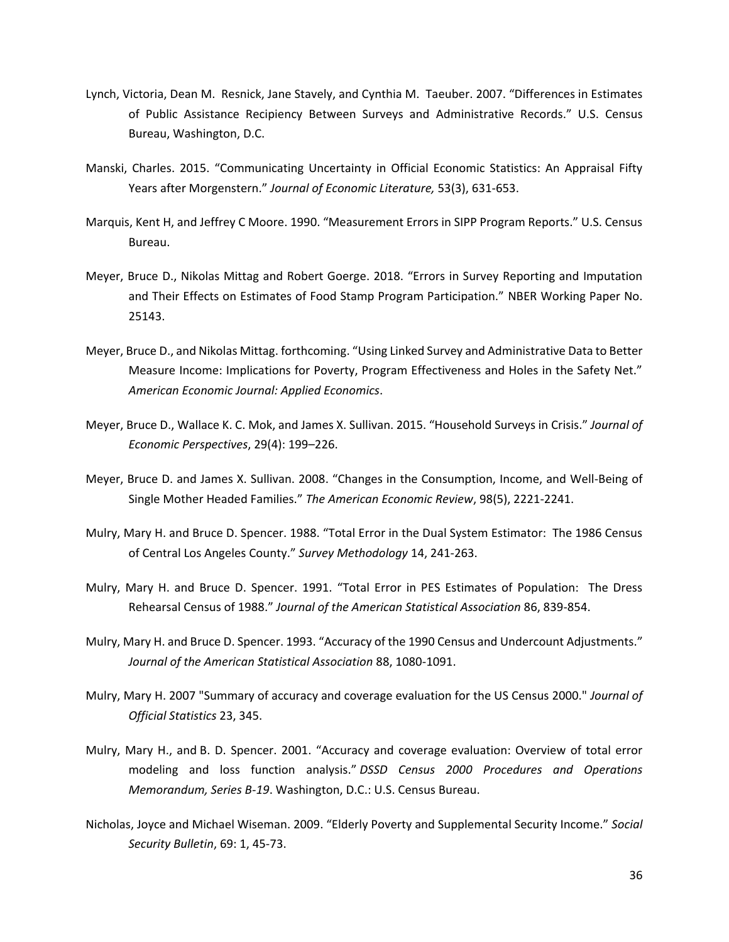- Lynch, Victoria, Dean M. Resnick, Jane Stavely, and Cynthia M. Taeuber. 2007. "Differences in Estimates of Public Assistance Recipiency Between Surveys and Administrative Records." U.S. Census Bureau, Washington, D.C.
- Manski, Charles. 2015. "Communicating Uncertainty in Official Economic Statistics: An Appraisal Fifty Years after Morgenstern." *Journal of Economic Literature,* 53(3), 631-653.
- Marquis, Kent H, and Jeffrey C Moore. 1990. "Measurement Errors in SIPP Program Reports." U.S. Census Bureau.
- Meyer, Bruce D., Nikolas Mittag and Robert Goerge. 2018. "Errors in Survey Reporting and Imputation and Their Effects on Estimates of Food Stamp Program Participation." NBER Working Paper No. 25143.
- Meyer, Bruce D., and Nikolas Mittag. forthcoming. "Using Linked Survey and Administrative Data to Better Measure Income: Implications for Poverty, Program Effectiveness and Holes in the Safety Net." *American Economic Journal: Applied Economics*.
- Meyer, Bruce D., Wallace K. C. Mok, and James X. Sullivan. 2015. "Household Surveys in Crisis." *Journal of Economic Perspectives*, 29(4): 199–226.
- Meyer, Bruce D. and James X. Sullivan. 2008. "Changes in the Consumption, Income, and Well-Being of Single Mother Headed Families." *The American Economic Review*, 98(5), 2221-2241.
- Mulry, Mary H. and Bruce D. Spencer. 1988. "Total Error in the Dual System Estimator: The 1986 Census of Central Los Angeles County." *Survey Methodology* 14, 241-263.
- Mulry, Mary H. and Bruce D. Spencer. 1991. "Total Error in PES Estimates of Population: The Dress Rehearsal Census of 1988." *Journal of the American Statistical Association* 86, 839-854.
- Mulry, Mary H. and Bruce D. Spencer. 1993. "Accuracy of the 1990 Census and Undercount Adjustments." *Journal of the American Statistical Association* 88, 1080-1091.
- Mulry, Mary H. 2007 "Summary of accuracy and coverage evaluation for the US Census 2000." *Journal of Official Statistics* 23, 345.
- Mulry, Mary H., and B. D. Spencer. 2001. "Accuracy and coverage evaluation: Overview of total error modeling and loss function analysis." *DSSD Census 2000 Procedures and Operations Memorandum, Series B-19*. Washington, D.C.: U.S. Census Bureau.
- Nicholas, Joyce and Michael Wiseman. 2009. "Elderly Poverty and Supplemental Security Income." *Social Security Bulletin*, 69: 1, 45-73.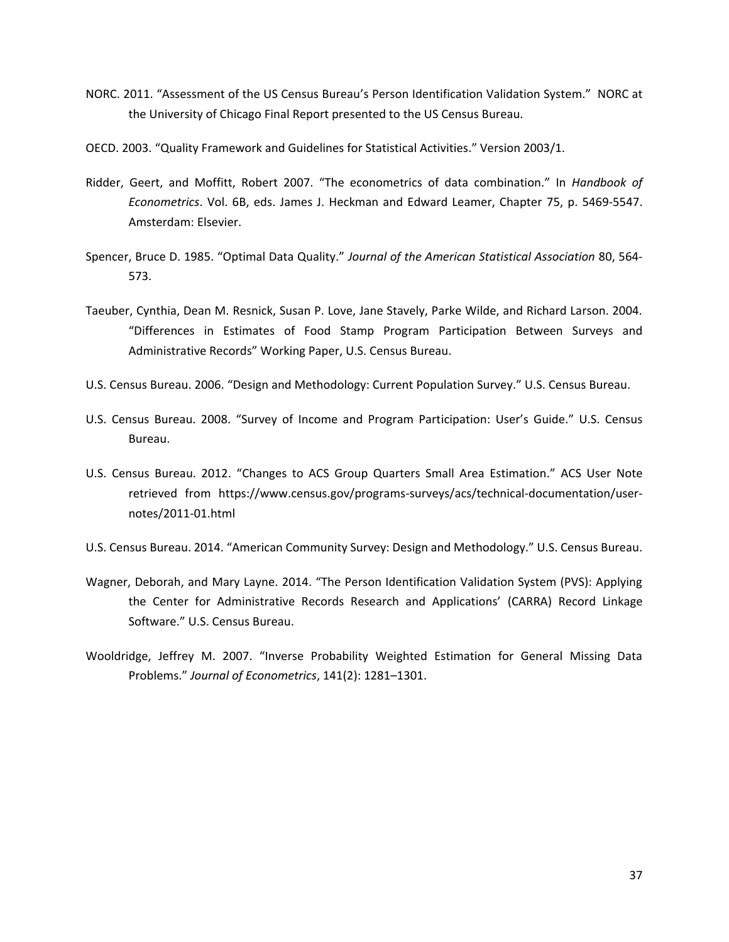- NORC. 2011. "Assessment of the US Census Bureau's Person Identification Validation System." NORC at the University of Chicago Final Report presented to the US Census Bureau.
- OECD. 2003. "Quality Framework and Guidelines for Statistical Activities." Version 2003/1.
- Ridder, Geert, and Moffitt, Robert 2007. "The econometrics of data combination." In *Handbook of Econometrics*. Vol. 6B, eds. James J. Heckman and Edward Leamer, Chapter 75, p. 5469-5547. Amsterdam: Elsevier.
- Spencer, Bruce D. 1985. "Optimal Data Quality." *Journal of the American Statistical Association* 80, 564- 573.
- Taeuber, Cynthia, Dean M. Resnick, Susan P. Love, Jane Stavely, Parke Wilde, and Richard Larson. 2004. "Differences in Estimates of Food Stamp Program Participation Between Surveys and Administrative Records" Working Paper, U.S. Census Bureau.
- U.S. Census Bureau. 2006. "Design and Methodology: Current Population Survey." U.S. Census Bureau.
- U.S. Census Bureau. 2008. "Survey of Income and Program Participation: User's Guide." U.S. Census Bureau.
- U.S. Census Bureau. 2012. "Changes to ACS Group Quarters Small Area Estimation." ACS User Note retrieved from https://www.census.gov/programs-surveys/acs/technical-documentation/usernotes/2011-01.html
- U.S. Census Bureau. 2014. "American Community Survey: Design and Methodology." U.S. Census Bureau.
- Wagner, Deborah, and Mary Layne. 2014. "The Person Identification Validation System (PVS): Applying the Center for Administrative Records Research and Applications' (CARRA) Record Linkage Software." U.S. Census Bureau.
- Wooldridge, Jeffrey M. 2007. "Inverse Probability Weighted Estimation for General Missing Data Problems." *Journal of Econometrics*, 141(2): 1281–1301.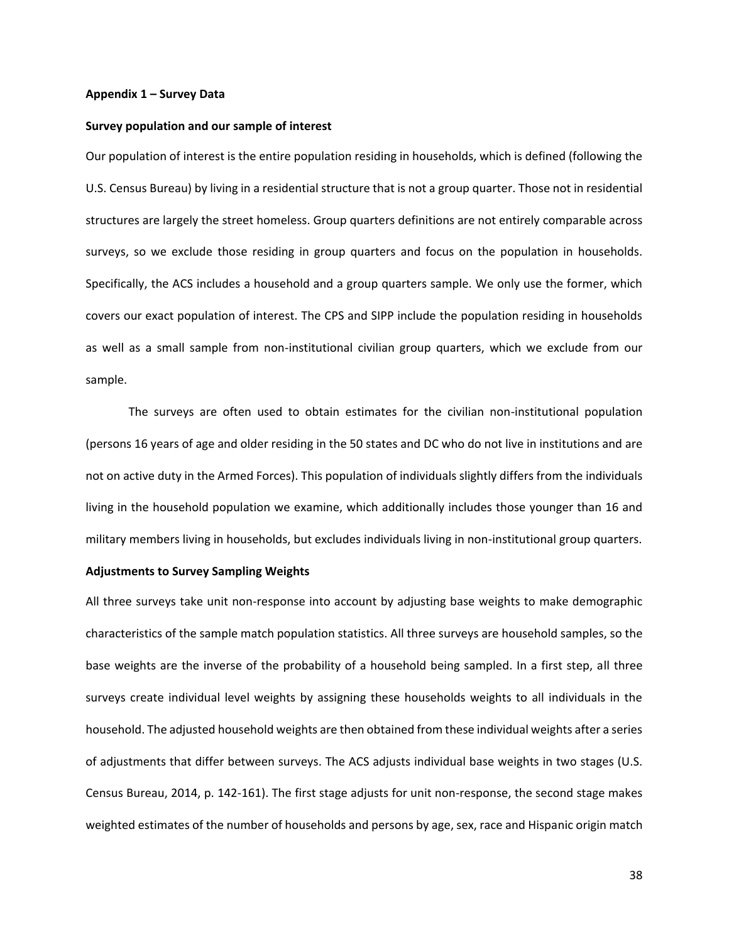#### **Appendix 1 – Survey Data**

#### **Survey population and our sample of interest**

Our population of interest is the entire population residing in households, which is defined (following the U.S. Census Bureau) by living in a residential structure that is not a group quarter. Those not in residential structures are largely the street homeless. Group quarters definitions are not entirely comparable across surveys, so we exclude those residing in group quarters and focus on the population in households. Specifically, the ACS includes a household and a group quarters sample. We only use the former, which covers our exact population of interest. The CPS and SIPP include the population residing in households as well as a small sample from non-institutional civilian group quarters, which we exclude from our sample.

The surveys are often used to obtain estimates for the civilian non-institutional population (persons 16 years of age and older residing in the 50 states and DC who do not live in institutions and are not on active duty in the Armed Forces). This population of individuals slightly differs from the individuals living in the household population we examine, which additionally includes those younger than 16 and military members living in households, but excludes individuals living in non-institutional group quarters.

#### **Adjustments to Survey Sampling Weights**

All three surveys take unit non-response into account by adjusting base weights to make demographic characteristics of the sample match population statistics. All three surveys are household samples, so the base weights are the inverse of the probability of a household being sampled. In a first step, all three surveys create individual level weights by assigning these households weights to all individuals in the household. The adjusted household weights are then obtained from these individual weights after a series of adjustments that differ between surveys. The ACS adjusts individual base weights in two stages (U.S. Census Bureau, 2014, p. 142-161). The first stage adjusts for unit non-response, the second stage makes weighted estimates of the number of households and persons by age, sex, race and Hispanic origin match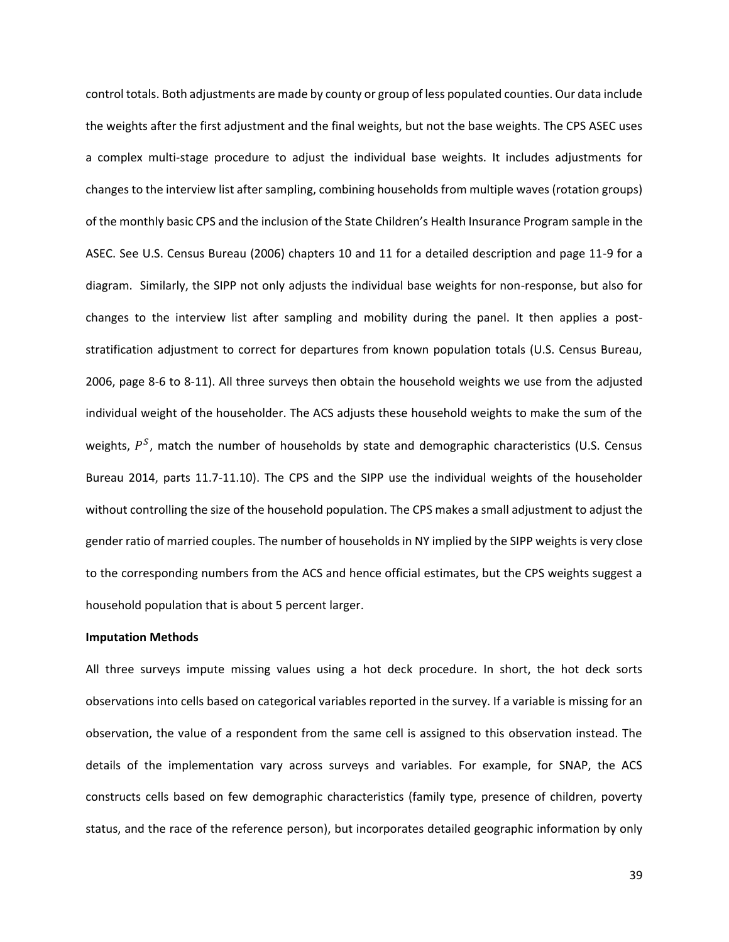control totals. Both adjustments are made by county or group of less populated counties. Our data include the weights after the first adjustment and the final weights, but not the base weights. The CPS ASEC uses a complex multi-stage procedure to adjust the individual base weights. It includes adjustments for changes to the interview list after sampling, combining households from multiple waves (rotation groups) of the monthly basic CPS and the inclusion of the State Children's Health Insurance Program sample in the ASEC. See U.S. Census Bureau (2006) chapters 10 and 11 for a detailed description and page 11-9 for a diagram. Similarly, the SIPP not only adjusts the individual base weights for non-response, but also for changes to the interview list after sampling and mobility during the panel. It then applies a poststratification adjustment to correct for departures from known population totals (U.S. Census Bureau, 2006, page 8-6 to 8-11). All three surveys then obtain the household weights we use from the adjusted individual weight of the householder. The ACS adjusts these household weights to make the sum of the weights,  $P^{S}$ , match the number of households by state and demographic characteristics (U.S. Census Bureau 2014, parts 11.7-11.10). The CPS and the SIPP use the individual weights of the householder without controlling the size of the household population. The CPS makes a small adjustment to adjust the gender ratio of married couples. The number of households in NY implied by the SIPP weights is very close to the corresponding numbers from the ACS and hence official estimates, but the CPS weights suggest a household population that is about 5 percent larger.

#### **Imputation Methods**

All three surveys impute missing values using a hot deck procedure. In short, the hot deck sorts observations into cells based on categorical variables reported in the survey. If a variable is missing for an observation, the value of a respondent from the same cell is assigned to this observation instead. The details of the implementation vary across surveys and variables. For example, for SNAP, the ACS constructs cells based on few demographic characteristics (family type, presence of children, poverty status, and the race of the reference person), but incorporates detailed geographic information by only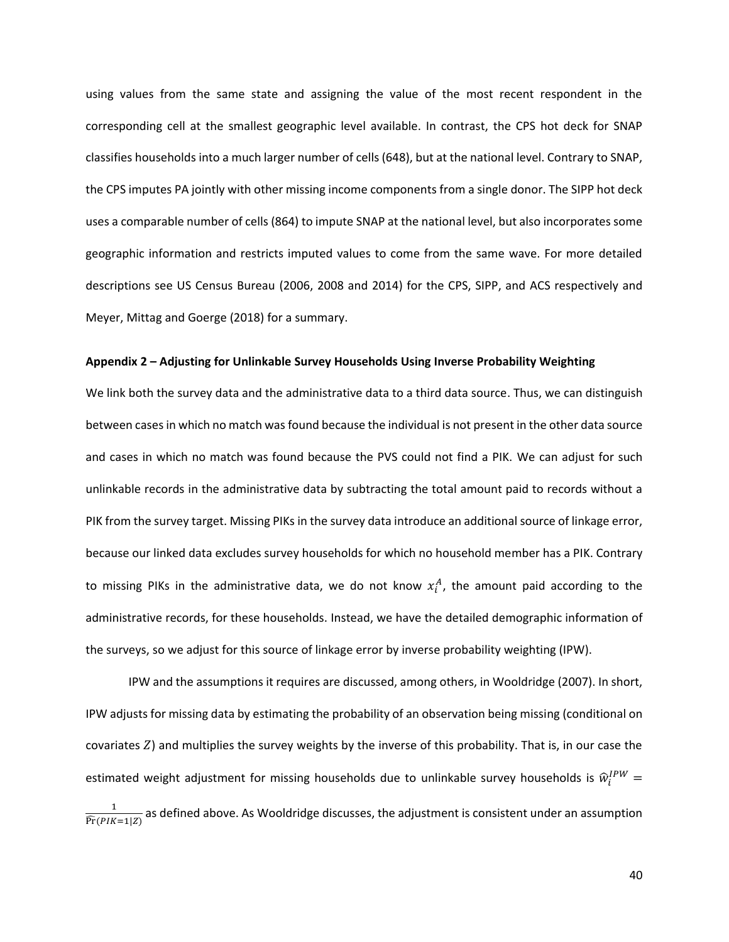using values from the same state and assigning the value of the most recent respondent in the corresponding cell at the smallest geographic level available. In contrast, the CPS hot deck for SNAP classifies households into a much larger number of cells (648), but at the national level. Contrary to SNAP, the CPS imputes PA jointly with other missing income components from a single donor. The SIPP hot deck uses a comparable number of cells (864) to impute SNAP at the national level, but also incorporates some geographic information and restricts imputed values to come from the same wave. For more detailed descriptions see US Census Bureau (2006, 2008 and 2014) for the CPS, SIPP, and ACS respectively and Meyer, Mittag and Goerge (2018) for a summary.

#### **Appendix 2 – Adjusting for Unlinkable Survey Households Using Inverse Probability Weighting**

We link both the survey data and the administrative data to a third data source. Thus, we can distinguish between cases in which no match was found because the individual is not present in the other data source and cases in which no match was found because the PVS could not find a PIK. We can adjust for such unlinkable records in the administrative data by subtracting the total amount paid to records without a PIK from the survey target. Missing PIKs in the survey data introduce an additional source of linkage error, because our linked data excludes survey households for which no household member has a PIK. Contrary to missing PIKs in the administrative data, we do not know  $x_i^A$ , the amount paid according to the administrative records, for these households. Instead, we have the detailed demographic information of the surveys, so we adjust for this source of linkage error by inverse probability weighting (IPW).

IPW and the assumptions it requires are discussed, among others, in Wooldridge (2007). In short, IPW adjusts for missing data by estimating the probability of an observation being missing (conditional on covariates  $Z$ ) and multiplies the survey weights by the inverse of this probability. That is, in our case the estimated weight adjustment for missing households due to unlinkable survey households is  $\widehat{w}_i^{IPW} =$ 1  $\frac{1}{\widehat{Pr}(PIK=1|Z)}$  as defined above. As Wooldridge discusses, the adjustment is consistent under an assumption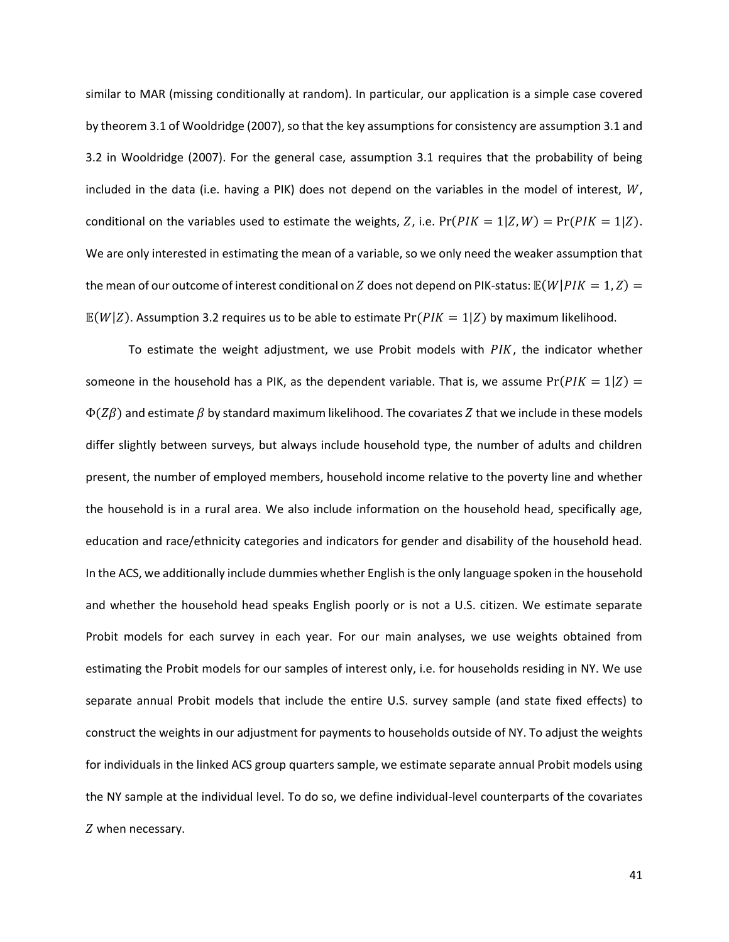similar to MAR (missing conditionally at random). In particular, our application is a simple case covered by theorem 3.1 of Wooldridge (2007), so that the key assumptions for consistency are assumption 3.1 and 3.2 in Wooldridge (2007). For the general case, assumption 3.1 requires that the probability of being included in the data (i.e. having a PIK) does not depend on the variables in the model of interest,  $W$ , conditional on the variables used to estimate the weights, Z, i.e.  $Pr(PIK = 1|Z, W) = Pr(PIK = 1|Z)$ . We are only interested in estimating the mean of a variable, so we only need the weaker assumption that the mean of our outcome of interest conditional on Z does not depend on PIK-status:  $\mathbb{E}(W|PIK = 1, Z) =$  $\mathbb{E}(W|Z)$ . Assumption 3.2 requires us to be able to estimate  $Pr(PIK = 1|Z)$  by maximum likelihood.

To estimate the weight adjustment, we use Probit models with  $PIK$ , the indicator whether someone in the household has a PIK, as the dependent variable. That is, we assume  $Pr(PIK = 1|Z) =$  $\Phi(Z\beta)$  and estimate  $\beta$  by standard maximum likelihood. The covariates Z that we include in these models differ slightly between surveys, but always include household type, the number of adults and children present, the number of employed members, household income relative to the poverty line and whether the household is in a rural area. We also include information on the household head, specifically age, education and race/ethnicity categories and indicators for gender and disability of the household head. In the ACS, we additionally include dummies whether English is the only language spoken in the household and whether the household head speaks English poorly or is not a U.S. citizen. We estimate separate Probit models for each survey in each year. For our main analyses, we use weights obtained from estimating the Probit models for our samples of interest only, i.e. for households residing in NY. We use separate annual Probit models that include the entire U.S. survey sample (and state fixed effects) to construct the weights in our adjustment for payments to households outside of NY. To adjust the weights for individuals in the linked ACS group quarters sample, we estimate separate annual Probit models using the NY sample at the individual level. To do so, we define individual-level counterparts of the covariates Z when necessary.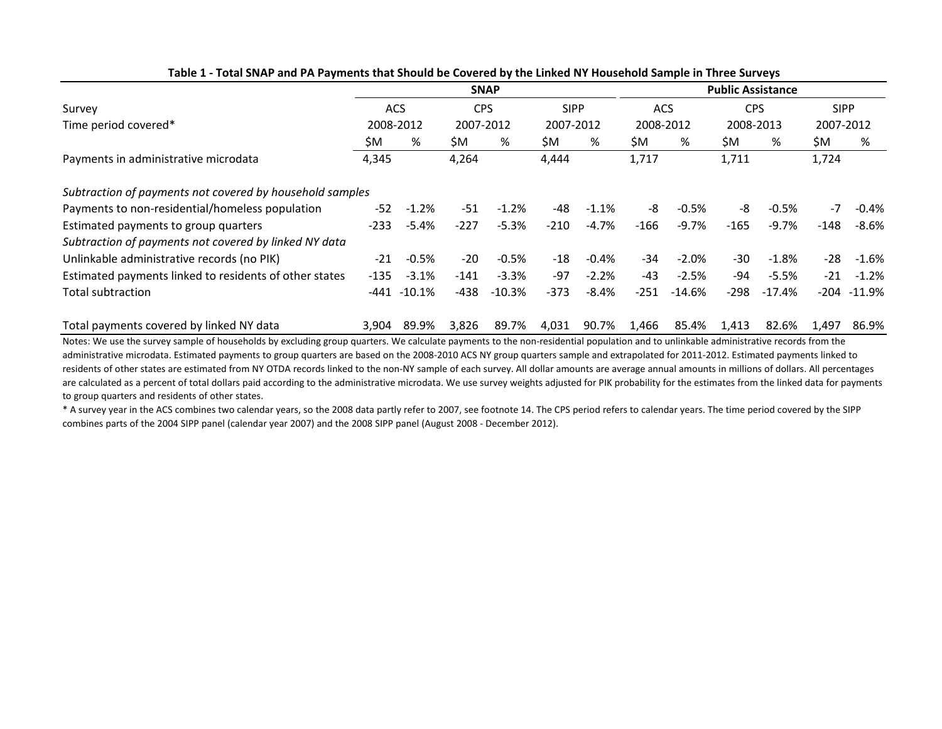|                                                          | <b>SNAP</b> |            |           | <b>Public Assistance</b> |           |             |           |            |           |            |           |                |  |
|----------------------------------------------------------|-------------|------------|-----------|--------------------------|-----------|-------------|-----------|------------|-----------|------------|-----------|----------------|--|
| Survey                                                   |             | <b>ACS</b> |           | <b>CPS</b>               |           | <b>SIPP</b> |           | <b>ACS</b> |           | <b>CPS</b> |           | <b>SIPP</b>    |  |
| Time period covered*                                     | 2008-2012   |            | 2007-2012 |                          | 2007-2012 |             | 2008-2012 |            | 2008-2013 |            | 2007-2012 |                |  |
|                                                          | \$M         | %          | ŚM.       | %                        | ŚM.       | %           | \$M       | %          | ŚM.       | %          | \$M       | %              |  |
| Payments in administrative microdata                     | 4,345       |            | 4,264     |                          | 4,444     |             | 1,717     |            | 1,711     |            | 1,724     |                |  |
| Subtraction of payments not covered by household samples |             |            |           |                          |           |             |           |            |           |            |           |                |  |
| Payments to non-residential/homeless population          | $-52$       | $-1.2%$    | -51       | $-1.2%$                  | -48       | $-1.1%$     | -8        | $-0.5%$    | -8        | $-0.5%$    | $-7$      | $-0.4%$        |  |
| Estimated payments to group quarters                     | $-233$      | $-5.4%$    | $-227$    | $-5.3%$                  | $-210$    | $-4.7%$     | $-166$    | $-9.7%$    | $-165$    | $-9.7%$    | $-148$    | $-8.6%$        |  |
| Subtraction of payments not covered by linked NY data    |             |            |           |                          |           |             |           |            |           |            |           |                |  |
| Unlinkable administrative records (no PIK)               | -21         | $-0.5%$    | $-20$     | $-0.5%$                  | $-18$     | $-0.4%$     | $-34$     | $-2.0%$    | $-30$     | $-1.8%$    | $-28$     | $-1.6%$        |  |
| Estimated payments linked to residents of other states   | -135        | $-3.1\%$   | $-141$    | $-3.3%$                  | -97       | $-2.2%$     | $-43$     | $-2.5%$    | -94       | $-5.5%$    | $-21$     | $-1.2%$        |  |
| Total subtraction                                        | -441        | $-10.1%$   | $-438$    | $-10.3%$                 | $-373$    | $-8.4%$     | $-251$    | $-14.6%$   | $-298$    | $-17.4%$   |           | $-204 - 11.9%$ |  |
| Total payments covered by linked NY data                 | 3,904       | 89.9%      | 3,826     | 89.7%                    | 4,031     | 90.7%       | 1,466     | 85.4%      | 1,413     | 82.6%      | 1.497     | 86.9%          |  |

**Table 1 - Total SNAP and PA Payments that Should be Covered by the Linked NY Household Sample in Three Surveys**

Notes: We use the survey sample of households by excluding group quarters. We calculate payments to the non-residential population and to unlinkable administrative records from the administrative microdata. Estimated payments to group quarters are based on the 2008-2010 ACS NY group quarters sample and extrapolated for 2011-2012. Estimated payments linked to residents of other states are estimated from NY OTDA records linked to the non-NY sample of each survey. All dollar amounts are average annual amounts in millions of dollars. All percentages are calculated as a percent of total dollars paid according to the administrative microdata. We use survey weights adjusted for PIK probability for the estimates from the linked data for payments to group quarters and residents of other states.

\* A survey year in the ACS combines two calendar years, so the 2008 data partly refer to 2007, see footnote 14. The CPS period refers to calendar years. The time period covered by the SIPP combines parts of the 2004 SIPP panel (calendar year 2007) and the 2008 SIPP panel (August 2008 - December 2012).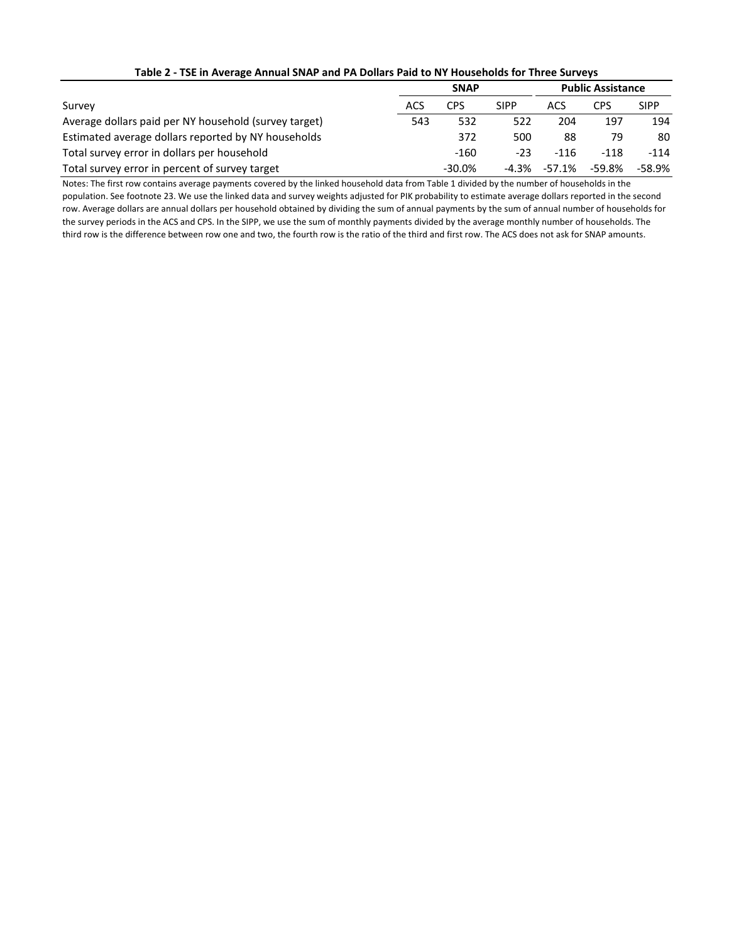|                                                       |     | <b>Public Assistance</b> |             |        |          |             |
|-------------------------------------------------------|-----|--------------------------|-------------|--------|----------|-------------|
| Survey                                                | ACS | CPS                      | <b>SIPP</b> | ACS    | CPS      | <b>SIPP</b> |
| Average dollars paid per NY household (survey target) | 543 | 532                      | 522         | 204    | 197      | 194         |
| Estimated average dollars reported by NY households   |     | 372                      | 500         | 88     | 79       | 80          |
| Total survey error in dollars per household           |     | $-160$                   | $-23$       | $-116$ | $-118$   | $-114$      |
| Total survey error in percent of survey target        |     | $-30.0\%$                | -4.3%       | -57.1% | $-59.8%$ | $-58.9%$    |

#### **Table 2 - TSE in Average Annual SNAP and PA Dollars Paid to NY Households for Three Surveys**

Notes: The first row contains average payments covered by the linked household data from Table 1 divided by the number of households in the population. See footnote 23. We use the linked data and survey weights adjusted for PIK probability to estimate average dollars reported in the second row. Average dollars are annual dollars per household obtained by dividing the sum of annual payments by the sum of annual number of households for the survey periods in the ACS and CPS. In the SIPP, we use the sum of monthly payments divided by the average monthly number of households. The third row is the difference between row one and two, the fourth row is the ratio of the third and first row. The ACS does not ask for SNAP amounts.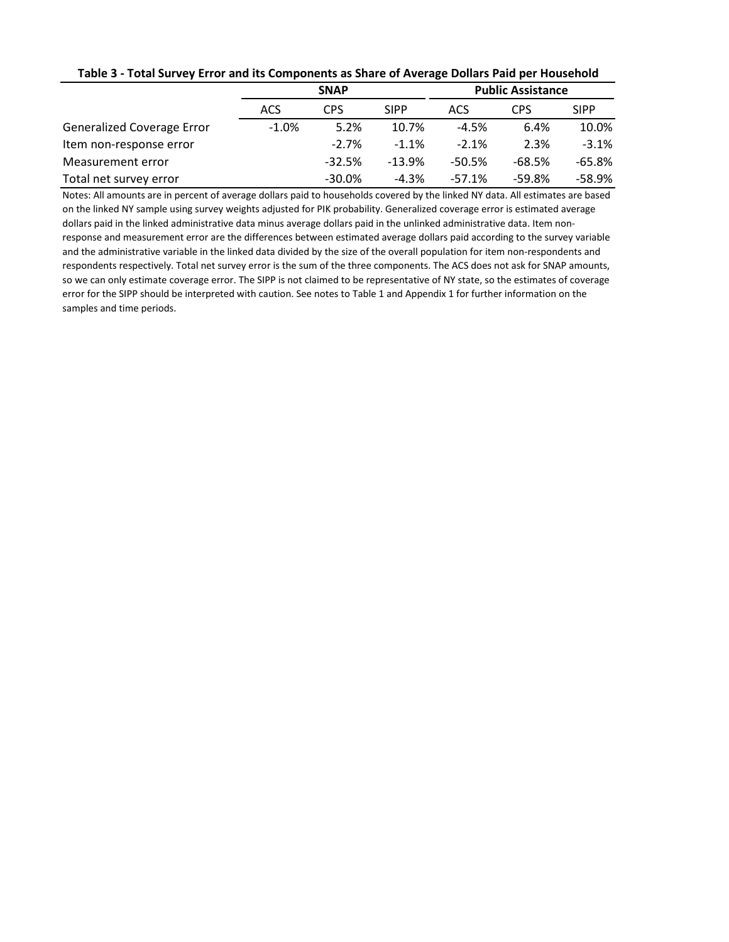| Table 5 - Total Survey Error and its Components as Share of Average Dollars Paid per Housenoid |             |            |             |                          |            |             |  |  |  |
|------------------------------------------------------------------------------------------------|-------------|------------|-------------|--------------------------|------------|-------------|--|--|--|
|                                                                                                | <b>SNAP</b> |            |             | <b>Public Assistance</b> |            |             |  |  |  |
|                                                                                                | <b>ACS</b>  | <b>CPS</b> | <b>SIPP</b> | ACS                      | <b>CPS</b> | <b>SIPP</b> |  |  |  |
| <b>Generalized Coverage Error</b>                                                              | $-1.0%$     | 5.2%       | 10.7%       | $-4.5%$                  | 6.4%       | 10.0%       |  |  |  |
| Item non-response error                                                                        |             | $-2.7\%$   | $-1.1%$     | $-2.1%$                  | 2.3%       | $-3.1%$     |  |  |  |
| Measurement error                                                                              |             | $-32.5%$   | $-13.9%$    | $-50.5%$                 | $-68.5%$   | $-65.8%$    |  |  |  |
| Total net survey error                                                                         |             | $-30.0\%$  | $-4.3%$     | $-57.1%$                 | $-59.8%$   | $-58.9%$    |  |  |  |

# **Table 3 - Total Survey Error and its Components as Share of Average Dollars Paid per Household**

Notes: All amounts are in percent of average dollars paid to households covered by the linked NY data. All estimates are based on the linked NY sample using survey weights adjusted for PIK probability. Generalized coverage error is estimated average dollars paid in the linked administrative data minus average dollars paid in the unlinked administrative data. Item nonresponse and measurement error are the differences between estimated average dollars paid according to the survey variable and the administrative variable in the linked data divided by the size of the overall population for item non-respondents and respondents respectively. Total net survey error is the sum of the three components. The ACS does not ask for SNAP amounts, so we can only estimate coverage error. The SIPP is not claimed to be representative of NY state, so the estimates of coverage error for the SIPP should be interpreted with caution. See notes to Table 1 and Appendix 1 for further information on the samples and time periods.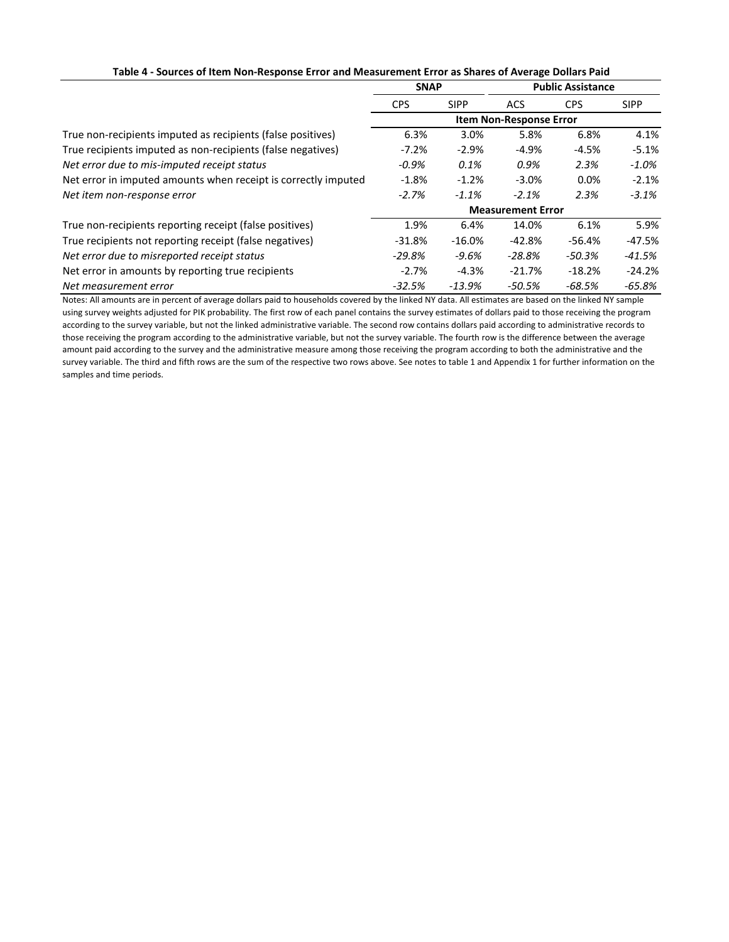|  |  |  |  |  | Table 4 - Sources of Item Non-Response Error and Measurement Error as Shares of Average Dollars Paid |
|--|--|--|--|--|------------------------------------------------------------------------------------------------------|
|--|--|--|--|--|------------------------------------------------------------------------------------------------------|

|                                                                | <b>SNAP</b>                    |             | <b>Public Assistance</b> |            |             |  |
|----------------------------------------------------------------|--------------------------------|-------------|--------------------------|------------|-------------|--|
|                                                                | <b>CPS</b>                     | <b>SIPP</b> | <b>ACS</b>               | <b>CPS</b> | <b>SIPP</b> |  |
|                                                                | <b>Item Non-Response Error</b> |             |                          |            |             |  |
| True non-recipients imputed as recipients (false positives)    | 6.3%                           | 3.0%        | 5.8%                     | 6.8%       | 4.1%        |  |
| True recipients imputed as non-recipients (false negatives)    | $-7.2%$                        | $-2.9%$     | $-4.9%$                  | $-4.5%$    | $-5.1%$     |  |
| Net error due to mis-imputed receipt status                    | $-0.9%$                        | 0.1%        | 0.9%                     | 2.3%       | $-1.0\%$    |  |
| Net error in imputed amounts when receipt is correctly imputed | $-1.8%$                        | $-1.2%$     | $-3.0%$                  | 0.0%       | $-2.1%$     |  |
| Net item non-response error                                    | $-2.7%$                        | $-1.1%$     | $-2.1%$                  | 2.3%       | $-3.1\%$    |  |
|                                                                | <b>Measurement Error</b>       |             |                          |            |             |  |
| True non-recipients reporting receipt (false positives)        | 1.9%                           | 6.4%        | 14.0%                    | 6.1%       | 5.9%        |  |
| True recipients not reporting receipt (false negatives)        | $-31.8%$                       | $-16.0%$    | $-42.8%$                 | $-56.4%$   | $-47.5%$    |  |
| Net error due to misreported receipt status                    | $-29.8\%$                      | -9.6%       | $-28.8%$                 | $-50.3%$   | $-41.5%$    |  |
| Net error in amounts by reporting true recipients              | $-2.7%$                        | $-4.3%$     | $-21.7%$                 | $-18.2%$   | $-24.2%$    |  |
| Net measurement error                                          | $-32.5%$                       | $-13.9%$    | -50.5%                   | $-68.5%$   | $-65.8%$    |  |

Notes: All amounts are in percent of average dollars paid to households covered by the linked NY data. All estimates are based on the linked NY sample using survey weights adjusted for PIK probability. The first row of each panel contains the survey estimates of dollars paid to those receiving the program according to the survey variable, but not the linked administrative variable. The second row contains dollars paid according to administrative records to those receiving the program according to the administrative variable, but not the survey variable. The fourth row is the difference between the average amount paid according to the survey and the administrative measure among those receiving the program according to both the administrative and the survey variable. The third and fifth rows are the sum of the respective two rows above. See notes to table 1 and Appendix 1 for further information on the samples and time periods.